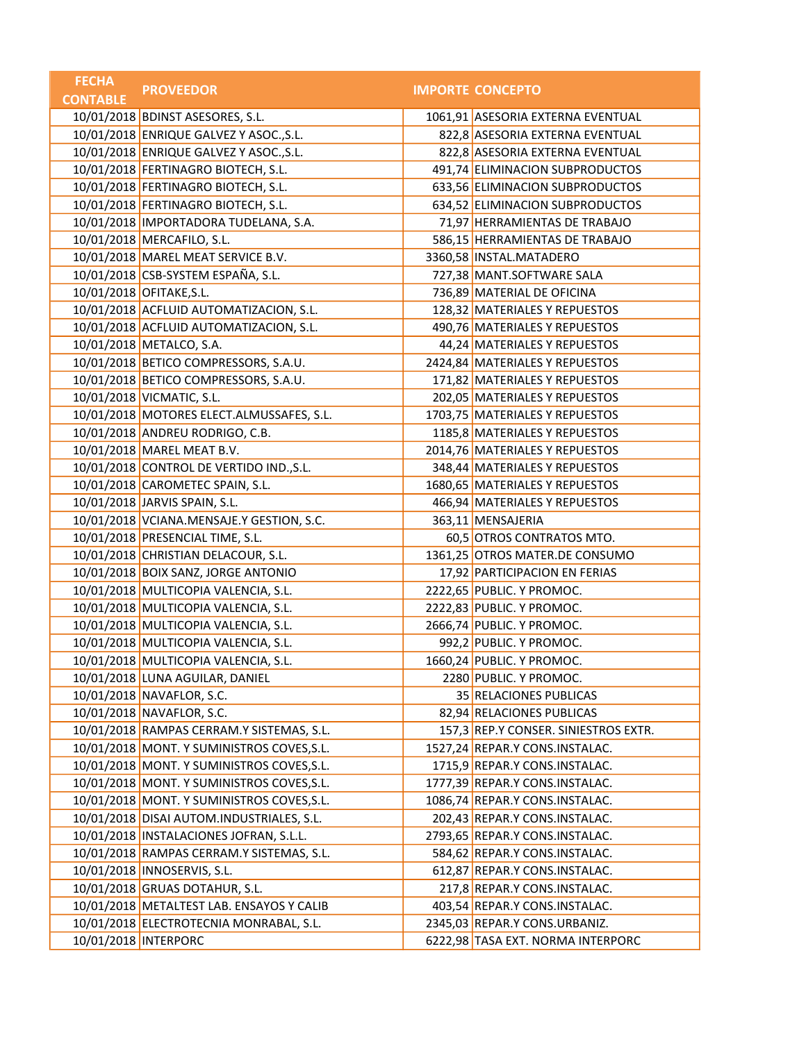| <b>FECHA</b>    | <b>PROVEEDOR</b>                           | <b>IMPORTE CONCEPTO</b>              |
|-----------------|--------------------------------------------|--------------------------------------|
| <b>CONTABLE</b> |                                            |                                      |
|                 | 10/01/2018 BDINST ASESORES, S.L.           | 1061,91 ASESORIA EXTERNA EVENTUAL    |
|                 | 10/01/2018 ENRIQUE GALVEZ Y ASOC., S.L.    | 822,8 ASESORIA EXTERNA EVENTUAL      |
|                 | 10/01/2018 ENRIQUE GALVEZ Y ASOC., S.L.    | 822,8 ASESORIA EXTERNA EVENTUAL      |
|                 | 10/01/2018 FERTINAGRO BIOTECH, S.L.        | 491,74 ELIMINACION SUBPRODUCTOS      |
|                 | 10/01/2018 FERTINAGRO BIOTECH, S.L.        | 633,56 ELIMINACION SUBPRODUCTOS      |
|                 | 10/01/2018 FERTINAGRO BIOTECH, S.L.        | 634,52 ELIMINACION SUBPRODUCTOS      |
|                 | 10/01/2018 IMPORTADORA TUDELANA, S.A.      | 71,97 HERRAMIENTAS DE TRABAJO        |
|                 | 10/01/2018 MERCAFILO, S.L.                 | 586,15 HERRAMIENTAS DE TRABAJO       |
|                 | 10/01/2018 MAREL MEAT SERVICE B.V.         | 3360,58 INSTAL.MATADERO              |
|                 | 10/01/2018 CSB-SYSTEM ESPAÑA, S.L.         | 727,38 MANT.SOFTWARE SALA            |
|                 | 10/01/2018 OFITAKE, S.L.                   | 736,89 MATERIAL DE OFICINA           |
|                 | 10/01/2018 ACFLUID AUTOMATIZACION, S.L.    | 128,32 MATERIALES Y REPUESTOS        |
|                 | 10/01/2018 ACFLUID AUTOMATIZACION, S.L.    | 490,76 MATERIALES Y REPUESTOS        |
|                 | 10/01/2018 METALCO, S.A.                   | 44,24 MATERIALES Y REPUESTOS         |
|                 | 10/01/2018 BETICO COMPRESSORS, S.A.U.      | 2424,84 MATERIALES Y REPUESTOS       |
|                 | 10/01/2018 BETICO COMPRESSORS, S.A.U.      | 171,82 MATERIALES Y REPUESTOS        |
|                 | 10/01/2018 VICMATIC, S.L.                  | 202,05 MATERIALES Y REPUESTOS        |
|                 | 10/01/2018 MOTORES ELECT.ALMUSSAFES, S.L.  | 1703,75 MATERIALES Y REPUESTOS       |
|                 | 10/01/2018 ANDREU RODRIGO, C.B.            | 1185,8 MATERIALES Y REPUESTOS        |
|                 | 10/01/2018 MAREL MEAT B.V.                 | 2014,76 MATERIALES Y REPUESTOS       |
|                 | 10/01/2018 CONTROL DE VERTIDO IND., S.L.   | 348,44 MATERIALES Y REPUESTOS        |
|                 | 10/01/2018 CAROMETEC SPAIN, S.L.           | 1680,65 MATERIALES Y REPUESTOS       |
|                 | 10/01/2018 JARVIS SPAIN, S.L.              | 466,94 MATERIALES Y REPUESTOS        |
|                 | 10/01/2018 VCIANA.MENSAJE.Y GESTION, S.C.  | 363,11 MENSAJERIA                    |
|                 | 10/01/2018 PRESENCIAL TIME, S.L.           | 60,5 OTROS CONTRATOS MTO.            |
|                 | 10/01/2018 CHRISTIAN DELACOUR, S.L.        | 1361,25 OTROS MATER.DE CONSUMO       |
|                 | 10/01/2018 BOIX SANZ, JORGE ANTONIO        | 17,92 PARTICIPACION EN FERIAS        |
|                 | 10/01/2018 MULTICOPIA VALENCIA, S.L.       | 2222,65 PUBLIC. Y PROMOC.            |
|                 | 10/01/2018 MULTICOPIA VALENCIA, S.L.       | 2222,83 PUBLIC. Y PROMOC.            |
|                 | 10/01/2018 MULTICOPIA VALENCIA, S.L.       | 2666,74 PUBLIC. Y PROMOC.            |
|                 | 10/01/2018 MULTICOPIA VALENCIA, S.L.       | 992,2 PUBLIC. Y PROMOC.              |
|                 | 10/01/2018 MULTICOPIA VALENCIA, S.L.       | 1660,24 PUBLIC. Y PROMOC.            |
|                 | 10/01/2018 LUNA AGUILAR, DANIEL            | 2280 PUBLIC. Y PROMOC.               |
|                 | 10/01/2018 NAVAFLOR, S.C.                  | 35 RELACIONES PUBLICAS               |
|                 | 10/01/2018 NAVAFLOR, S.C.                  | 82,94 RELACIONES PUBLICAS            |
|                 | 10/01/2018 RAMPAS CERRAM.Y SISTEMAS, S.L.  | 157,3 REP.Y CONSER. SINIESTROS EXTR. |
|                 | 10/01/2018 MONT. Y SUMINISTROS COVES, S.L. | 1527,24 REPAR.Y CONS.INSTALAC.       |
|                 | 10/01/2018 MONT. Y SUMINISTROS COVES, S.L. | 1715,9 REPAR.Y CONS.INSTALAC.        |
|                 | 10/01/2018 MONT. Y SUMINISTROS COVES, S.L. | 1777,39 REPAR.Y CONS.INSTALAC.       |
|                 | 10/01/2018 MONT. Y SUMINISTROS COVES, S.L. | 1086,74 REPAR.Y CONS.INSTALAC.       |
|                 | 10/01/2018 DISAI AUTOM.INDUSTRIALES, S.L.  | 202,43 REPAR.Y CONS.INSTALAC.        |
|                 | 10/01/2018  INSTALACIONES JOFRAN, S.L.L.   | 2793,65 REPAR.Y CONS.INSTALAC.       |
|                 | 10/01/2018 RAMPAS CERRAM.Y SISTEMAS, S.L.  | 584,62 REPAR.Y CONS.INSTALAC.        |
|                 | 10/01/2018   INNOSERVIS, S.L.              | 612,87 REPAR.Y CONS.INSTALAC.        |
|                 | 10/01/2018 GRUAS DOTAHUR, S.L.             | 217,8 REPAR.Y CONS.INSTALAC.         |
|                 | 10/01/2018 METALTEST LAB. ENSAYOS Y CALIB  | 403,54 REPAR.Y CONS.INSTALAC.        |
|                 | 10/01/2018 ELECTROTECNIA MONRABAL, S.L.    | 2345,03 REPAR.Y CONS.URBANIZ.        |
|                 | 10/01/2018   INTERPORC                     | 6222,98 TASA EXT. NORMA INTERPORC    |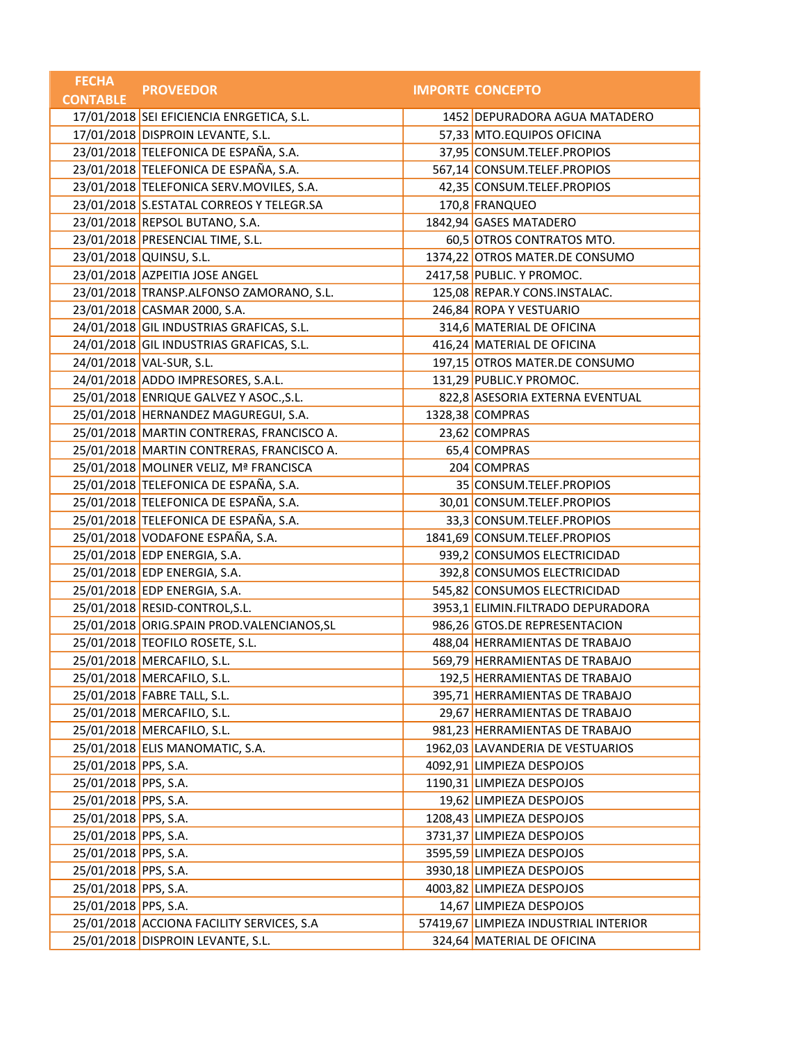| <b>CONTABLE</b><br>17/01/2018 SEI EFICIENCIA ENRGETICA, S.L.<br>1452 DEPURADORA AGUA MATADERO<br>17/01/2018 DISPROIN LEVANTE, S.L.<br>57,33 MTO.EQUIPOS OFICINA<br>23/01/2018 TELEFONICA DE ESPAÑA, S.A.<br>37,95 CONSUM.TELEF.PROPIOS<br>23/01/2018 TELEFONICA DE ESPAÑA, S.A.<br>567,14 CONSUM.TELEF.PROPIOS<br>23/01/2018 TELEFONICA SERV.MOVILES, S.A.<br>42,35 CONSUM.TELEF.PROPIOS<br>23/01/2018 S.ESTATAL CORREOS Y TELEGR.SA<br>170,8 FRANQUEO<br>23/01/2018 REPSOL BUTANO, S.A.<br>1842,94 GASES MATADERO<br>23/01/2018 PRESENCIAL TIME, S.L.<br>60,5 OTROS CONTRATOS MTO.<br>23/01/2018 QUINSU, S.L.<br>1374,22 OTROS MATER.DE CONSUMO<br>23/01/2018 AZPEITIA JOSE ANGEL<br>2417,58 PUBLIC. Y PROMOC.<br>23/01/2018 TRANSP.ALFONSO ZAMORANO, S.L.<br>125,08 REPAR.Y CONS.INSTALAC.<br>23/01/2018 CASMAR 2000, S.A.<br>246,84 ROPA Y VESTUARIO<br>24/01/2018 GIL INDUSTRIAS GRAFICAS, S.L.<br>314,6 MATERIAL DE OFICINA<br>24/01/2018 GIL INDUSTRIAS GRAFICAS, S.L.<br>416,24 MATERIAL DE OFICINA<br>24/01/2018 VAL-SUR, S.L.<br>197,15 OTROS MATER.DE CONSUMO<br>24/01/2018 ADDO IMPRESORES, S.A.L.<br>131,29 PUBLIC.Y PROMOC.<br>25/01/2018 ENRIQUE GALVEZ Y ASOC., S.L.<br>822,8 ASESORIA EXTERNA EVENTUAL<br>25/01/2018 HERNANDEZ MAGUREGUI, S.A.<br>1328,38 COMPRAS<br>25/01/2018 MARTIN CONTRERAS, FRANCISCO A.<br>23,62 COMPRAS<br>25/01/2018 MARTIN CONTRERAS, FRANCISCO A.<br>65,4 COMPRAS<br>25/01/2018 MOLINER VELIZ, Mª FRANCISCA<br>204 COMPRAS<br>25/01/2018 TELEFONICA DE ESPAÑA, S.A.<br>35 CONSUM.TELEF.PROPIOS<br>25/01/2018 TELEFONICA DE ESPAÑA, S.A.<br>30,01 CONSUM.TELEF.PROPIOS<br>25/01/2018 TELEFONICA DE ESPAÑA, S.A.<br>33,3 CONSUM.TELEF.PROPIOS<br>25/01/2018 VODAFONE ESPAÑA, S.A.<br>1841,69 CONSUM.TELEF.PROPIOS<br>25/01/2018 EDP ENERGIA, S.A.<br>939,2 CONSUMOS ELECTRICIDAD<br>25/01/2018 EDP ENERGIA, S.A.<br>392,8 CONSUMOS ELECTRICIDAD<br>25/01/2018 EDP ENERGIA, S.A.<br>545,82 CONSUMOS ELECTRICIDAD<br>25/01/2018 RESID-CONTROL, S.L.<br>3953,1 ELIMIN.FILTRADO DEPURADORA<br>25/01/2018 ORIG.SPAIN PROD.VALENCIANOS, SL<br>986,26 GTOS.DE REPRESENTACION<br>25/01/2018 TEOFILO ROSETE, S.L.<br>488,04 HERRAMIENTAS DE TRABAJO<br>25/01/2018 MERCAFILO, S.L.<br>569,79 HERRAMIENTAS DE TRABAJO<br>25/01/2018 MERCAFILO, S.L.<br>192,5 HERRAMIENTAS DE TRABAJO<br>25/01/2018 FABRE TALL, S.L.<br>395,71 HERRAMIENTAS DE TRABAJO<br>25/01/2018 MERCAFILO, S.L.<br>29,67 HERRAMIENTAS DE TRABAJO<br>25/01/2018 MERCAFILO, S.L.<br>981,23 HERRAMIENTAS DE TRABAJO<br>25/01/2018 ELIS MANOMATIC, S.A.<br>1962,03 LAVANDERIA DE VESTUARIOS<br>25/01/2018 PPS, S.A.<br>4092,91 LIMPIEZA DESPOJOS<br>25/01/2018 PPS, S.A.<br>1190,31 LIMPIEZA DESPOJOS<br>25/01/2018 PPS, S.A.<br>19,62 LIMPIEZA DESPOJOS<br>25/01/2018 PPS, S.A.<br>1208,43 LIMPIEZA DESPOJOS<br>25/01/2018 PPS, S.A.<br>3731,37 LIMPIEZA DESPOJOS<br>25/01/2018 PPS, S.A.<br>3595,59 LIMPIEZA DESPOJOS<br>25/01/2018 PPS, S.A.<br>3930,18 LIMPIEZA DESPOJOS<br>25/01/2018 PPS, S.A.<br>4003,82 LIMPIEZA DESPOJOS<br>25/01/2018 PPS, S.A.<br>14,67 LIMPIEZA DESPOJOS<br>25/01/2018 ACCIONA FACILITY SERVICES, S.A<br>57419,67 LIMPIEZA INDUSTRIAL INTERIOR<br>25/01/2018 DISPROIN LEVANTE, S.L.<br>324,64 MATERIAL DE OFICINA | <b>FECHA</b> | <b>PROVEEDOR</b> | <b>IMPORTE CONCEPTO</b> |
|---------------------------------------------------------------------------------------------------------------------------------------------------------------------------------------------------------------------------------------------------------------------------------------------------------------------------------------------------------------------------------------------------------------------------------------------------------------------------------------------------------------------------------------------------------------------------------------------------------------------------------------------------------------------------------------------------------------------------------------------------------------------------------------------------------------------------------------------------------------------------------------------------------------------------------------------------------------------------------------------------------------------------------------------------------------------------------------------------------------------------------------------------------------------------------------------------------------------------------------------------------------------------------------------------------------------------------------------------------------------------------------------------------------------------------------------------------------------------------------------------------------------------------------------------------------------------------------------------------------------------------------------------------------------------------------------------------------------------------------------------------------------------------------------------------------------------------------------------------------------------------------------------------------------------------------------------------------------------------------------------------------------------------------------------------------------------------------------------------------------------------------------------------------------------------------------------------------------------------------------------------------------------------------------------------------------------------------------------------------------------------------------------------------------------------------------------------------------------------------------------------------------------------------------------------------------------------------------------------------------------------------------------------------------------------------------------------------------------------------------------------------------------------------------------------------------------------------------------------------------------------------------------------------------------------------------------------------------------------------------------------------------------------------------------------------------------------------------------------------------------------------------------------------------------------------------------------------------------------------------|--------------|------------------|-------------------------|
|                                                                                                                                                                                                                                                                                                                                                                                                                                                                                                                                                                                                                                                                                                                                                                                                                                                                                                                                                                                                                                                                                                                                                                                                                                                                                                                                                                                                                                                                                                                                                                                                                                                                                                                                                                                                                                                                                                                                                                                                                                                                                                                                                                                                                                                                                                                                                                                                                                                                                                                                                                                                                                                                                                                                                                                                                                                                                                                                                                                                                                                                                                                                                                                                                                             |              |                  |                         |
|                                                                                                                                                                                                                                                                                                                                                                                                                                                                                                                                                                                                                                                                                                                                                                                                                                                                                                                                                                                                                                                                                                                                                                                                                                                                                                                                                                                                                                                                                                                                                                                                                                                                                                                                                                                                                                                                                                                                                                                                                                                                                                                                                                                                                                                                                                                                                                                                                                                                                                                                                                                                                                                                                                                                                                                                                                                                                                                                                                                                                                                                                                                                                                                                                                             |              |                  |                         |
|                                                                                                                                                                                                                                                                                                                                                                                                                                                                                                                                                                                                                                                                                                                                                                                                                                                                                                                                                                                                                                                                                                                                                                                                                                                                                                                                                                                                                                                                                                                                                                                                                                                                                                                                                                                                                                                                                                                                                                                                                                                                                                                                                                                                                                                                                                                                                                                                                                                                                                                                                                                                                                                                                                                                                                                                                                                                                                                                                                                                                                                                                                                                                                                                                                             |              |                  |                         |
|                                                                                                                                                                                                                                                                                                                                                                                                                                                                                                                                                                                                                                                                                                                                                                                                                                                                                                                                                                                                                                                                                                                                                                                                                                                                                                                                                                                                                                                                                                                                                                                                                                                                                                                                                                                                                                                                                                                                                                                                                                                                                                                                                                                                                                                                                                                                                                                                                                                                                                                                                                                                                                                                                                                                                                                                                                                                                                                                                                                                                                                                                                                                                                                                                                             |              |                  |                         |
|                                                                                                                                                                                                                                                                                                                                                                                                                                                                                                                                                                                                                                                                                                                                                                                                                                                                                                                                                                                                                                                                                                                                                                                                                                                                                                                                                                                                                                                                                                                                                                                                                                                                                                                                                                                                                                                                                                                                                                                                                                                                                                                                                                                                                                                                                                                                                                                                                                                                                                                                                                                                                                                                                                                                                                                                                                                                                                                                                                                                                                                                                                                                                                                                                                             |              |                  |                         |
|                                                                                                                                                                                                                                                                                                                                                                                                                                                                                                                                                                                                                                                                                                                                                                                                                                                                                                                                                                                                                                                                                                                                                                                                                                                                                                                                                                                                                                                                                                                                                                                                                                                                                                                                                                                                                                                                                                                                                                                                                                                                                                                                                                                                                                                                                                                                                                                                                                                                                                                                                                                                                                                                                                                                                                                                                                                                                                                                                                                                                                                                                                                                                                                                                                             |              |                  |                         |
|                                                                                                                                                                                                                                                                                                                                                                                                                                                                                                                                                                                                                                                                                                                                                                                                                                                                                                                                                                                                                                                                                                                                                                                                                                                                                                                                                                                                                                                                                                                                                                                                                                                                                                                                                                                                                                                                                                                                                                                                                                                                                                                                                                                                                                                                                                                                                                                                                                                                                                                                                                                                                                                                                                                                                                                                                                                                                                                                                                                                                                                                                                                                                                                                                                             |              |                  |                         |
|                                                                                                                                                                                                                                                                                                                                                                                                                                                                                                                                                                                                                                                                                                                                                                                                                                                                                                                                                                                                                                                                                                                                                                                                                                                                                                                                                                                                                                                                                                                                                                                                                                                                                                                                                                                                                                                                                                                                                                                                                                                                                                                                                                                                                                                                                                                                                                                                                                                                                                                                                                                                                                                                                                                                                                                                                                                                                                                                                                                                                                                                                                                                                                                                                                             |              |                  |                         |
|                                                                                                                                                                                                                                                                                                                                                                                                                                                                                                                                                                                                                                                                                                                                                                                                                                                                                                                                                                                                                                                                                                                                                                                                                                                                                                                                                                                                                                                                                                                                                                                                                                                                                                                                                                                                                                                                                                                                                                                                                                                                                                                                                                                                                                                                                                                                                                                                                                                                                                                                                                                                                                                                                                                                                                                                                                                                                                                                                                                                                                                                                                                                                                                                                                             |              |                  |                         |
|                                                                                                                                                                                                                                                                                                                                                                                                                                                                                                                                                                                                                                                                                                                                                                                                                                                                                                                                                                                                                                                                                                                                                                                                                                                                                                                                                                                                                                                                                                                                                                                                                                                                                                                                                                                                                                                                                                                                                                                                                                                                                                                                                                                                                                                                                                                                                                                                                                                                                                                                                                                                                                                                                                                                                                                                                                                                                                                                                                                                                                                                                                                                                                                                                                             |              |                  |                         |
|                                                                                                                                                                                                                                                                                                                                                                                                                                                                                                                                                                                                                                                                                                                                                                                                                                                                                                                                                                                                                                                                                                                                                                                                                                                                                                                                                                                                                                                                                                                                                                                                                                                                                                                                                                                                                                                                                                                                                                                                                                                                                                                                                                                                                                                                                                                                                                                                                                                                                                                                                                                                                                                                                                                                                                                                                                                                                                                                                                                                                                                                                                                                                                                                                                             |              |                  |                         |
|                                                                                                                                                                                                                                                                                                                                                                                                                                                                                                                                                                                                                                                                                                                                                                                                                                                                                                                                                                                                                                                                                                                                                                                                                                                                                                                                                                                                                                                                                                                                                                                                                                                                                                                                                                                                                                                                                                                                                                                                                                                                                                                                                                                                                                                                                                                                                                                                                                                                                                                                                                                                                                                                                                                                                                                                                                                                                                                                                                                                                                                                                                                                                                                                                                             |              |                  |                         |
|                                                                                                                                                                                                                                                                                                                                                                                                                                                                                                                                                                                                                                                                                                                                                                                                                                                                                                                                                                                                                                                                                                                                                                                                                                                                                                                                                                                                                                                                                                                                                                                                                                                                                                                                                                                                                                                                                                                                                                                                                                                                                                                                                                                                                                                                                                                                                                                                                                                                                                                                                                                                                                                                                                                                                                                                                                                                                                                                                                                                                                                                                                                                                                                                                                             |              |                  |                         |
|                                                                                                                                                                                                                                                                                                                                                                                                                                                                                                                                                                                                                                                                                                                                                                                                                                                                                                                                                                                                                                                                                                                                                                                                                                                                                                                                                                                                                                                                                                                                                                                                                                                                                                                                                                                                                                                                                                                                                                                                                                                                                                                                                                                                                                                                                                                                                                                                                                                                                                                                                                                                                                                                                                                                                                                                                                                                                                                                                                                                                                                                                                                                                                                                                                             |              |                  |                         |
|                                                                                                                                                                                                                                                                                                                                                                                                                                                                                                                                                                                                                                                                                                                                                                                                                                                                                                                                                                                                                                                                                                                                                                                                                                                                                                                                                                                                                                                                                                                                                                                                                                                                                                                                                                                                                                                                                                                                                                                                                                                                                                                                                                                                                                                                                                                                                                                                                                                                                                                                                                                                                                                                                                                                                                                                                                                                                                                                                                                                                                                                                                                                                                                                                                             |              |                  |                         |
|                                                                                                                                                                                                                                                                                                                                                                                                                                                                                                                                                                                                                                                                                                                                                                                                                                                                                                                                                                                                                                                                                                                                                                                                                                                                                                                                                                                                                                                                                                                                                                                                                                                                                                                                                                                                                                                                                                                                                                                                                                                                                                                                                                                                                                                                                                                                                                                                                                                                                                                                                                                                                                                                                                                                                                                                                                                                                                                                                                                                                                                                                                                                                                                                                                             |              |                  |                         |
|                                                                                                                                                                                                                                                                                                                                                                                                                                                                                                                                                                                                                                                                                                                                                                                                                                                                                                                                                                                                                                                                                                                                                                                                                                                                                                                                                                                                                                                                                                                                                                                                                                                                                                                                                                                                                                                                                                                                                                                                                                                                                                                                                                                                                                                                                                                                                                                                                                                                                                                                                                                                                                                                                                                                                                                                                                                                                                                                                                                                                                                                                                                                                                                                                                             |              |                  |                         |
|                                                                                                                                                                                                                                                                                                                                                                                                                                                                                                                                                                                                                                                                                                                                                                                                                                                                                                                                                                                                                                                                                                                                                                                                                                                                                                                                                                                                                                                                                                                                                                                                                                                                                                                                                                                                                                                                                                                                                                                                                                                                                                                                                                                                                                                                                                                                                                                                                                                                                                                                                                                                                                                                                                                                                                                                                                                                                                                                                                                                                                                                                                                                                                                                                                             |              |                  |                         |
|                                                                                                                                                                                                                                                                                                                                                                                                                                                                                                                                                                                                                                                                                                                                                                                                                                                                                                                                                                                                                                                                                                                                                                                                                                                                                                                                                                                                                                                                                                                                                                                                                                                                                                                                                                                                                                                                                                                                                                                                                                                                                                                                                                                                                                                                                                                                                                                                                                                                                                                                                                                                                                                                                                                                                                                                                                                                                                                                                                                                                                                                                                                                                                                                                                             |              |                  |                         |
|                                                                                                                                                                                                                                                                                                                                                                                                                                                                                                                                                                                                                                                                                                                                                                                                                                                                                                                                                                                                                                                                                                                                                                                                                                                                                                                                                                                                                                                                                                                                                                                                                                                                                                                                                                                                                                                                                                                                                                                                                                                                                                                                                                                                                                                                                                                                                                                                                                                                                                                                                                                                                                                                                                                                                                                                                                                                                                                                                                                                                                                                                                                                                                                                                                             |              |                  |                         |
|                                                                                                                                                                                                                                                                                                                                                                                                                                                                                                                                                                                                                                                                                                                                                                                                                                                                                                                                                                                                                                                                                                                                                                                                                                                                                                                                                                                                                                                                                                                                                                                                                                                                                                                                                                                                                                                                                                                                                                                                                                                                                                                                                                                                                                                                                                                                                                                                                                                                                                                                                                                                                                                                                                                                                                                                                                                                                                                                                                                                                                                                                                                                                                                                                                             |              |                  |                         |
|                                                                                                                                                                                                                                                                                                                                                                                                                                                                                                                                                                                                                                                                                                                                                                                                                                                                                                                                                                                                                                                                                                                                                                                                                                                                                                                                                                                                                                                                                                                                                                                                                                                                                                                                                                                                                                                                                                                                                                                                                                                                                                                                                                                                                                                                                                                                                                                                                                                                                                                                                                                                                                                                                                                                                                                                                                                                                                                                                                                                                                                                                                                                                                                                                                             |              |                  |                         |
|                                                                                                                                                                                                                                                                                                                                                                                                                                                                                                                                                                                                                                                                                                                                                                                                                                                                                                                                                                                                                                                                                                                                                                                                                                                                                                                                                                                                                                                                                                                                                                                                                                                                                                                                                                                                                                                                                                                                                                                                                                                                                                                                                                                                                                                                                                                                                                                                                                                                                                                                                                                                                                                                                                                                                                                                                                                                                                                                                                                                                                                                                                                                                                                                                                             |              |                  |                         |
|                                                                                                                                                                                                                                                                                                                                                                                                                                                                                                                                                                                                                                                                                                                                                                                                                                                                                                                                                                                                                                                                                                                                                                                                                                                                                                                                                                                                                                                                                                                                                                                                                                                                                                                                                                                                                                                                                                                                                                                                                                                                                                                                                                                                                                                                                                                                                                                                                                                                                                                                                                                                                                                                                                                                                                                                                                                                                                                                                                                                                                                                                                                                                                                                                                             |              |                  |                         |
|                                                                                                                                                                                                                                                                                                                                                                                                                                                                                                                                                                                                                                                                                                                                                                                                                                                                                                                                                                                                                                                                                                                                                                                                                                                                                                                                                                                                                                                                                                                                                                                                                                                                                                                                                                                                                                                                                                                                                                                                                                                                                                                                                                                                                                                                                                                                                                                                                                                                                                                                                                                                                                                                                                                                                                                                                                                                                                                                                                                                                                                                                                                                                                                                                                             |              |                  |                         |
|                                                                                                                                                                                                                                                                                                                                                                                                                                                                                                                                                                                                                                                                                                                                                                                                                                                                                                                                                                                                                                                                                                                                                                                                                                                                                                                                                                                                                                                                                                                                                                                                                                                                                                                                                                                                                                                                                                                                                                                                                                                                                                                                                                                                                                                                                                                                                                                                                                                                                                                                                                                                                                                                                                                                                                                                                                                                                                                                                                                                                                                                                                                                                                                                                                             |              |                  |                         |
|                                                                                                                                                                                                                                                                                                                                                                                                                                                                                                                                                                                                                                                                                                                                                                                                                                                                                                                                                                                                                                                                                                                                                                                                                                                                                                                                                                                                                                                                                                                                                                                                                                                                                                                                                                                                                                                                                                                                                                                                                                                                                                                                                                                                                                                                                                                                                                                                                                                                                                                                                                                                                                                                                                                                                                                                                                                                                                                                                                                                                                                                                                                                                                                                                                             |              |                  |                         |
|                                                                                                                                                                                                                                                                                                                                                                                                                                                                                                                                                                                                                                                                                                                                                                                                                                                                                                                                                                                                                                                                                                                                                                                                                                                                                                                                                                                                                                                                                                                                                                                                                                                                                                                                                                                                                                                                                                                                                                                                                                                                                                                                                                                                                                                                                                                                                                                                                                                                                                                                                                                                                                                                                                                                                                                                                                                                                                                                                                                                                                                                                                                                                                                                                                             |              |                  |                         |
|                                                                                                                                                                                                                                                                                                                                                                                                                                                                                                                                                                                                                                                                                                                                                                                                                                                                                                                                                                                                                                                                                                                                                                                                                                                                                                                                                                                                                                                                                                                                                                                                                                                                                                                                                                                                                                                                                                                                                                                                                                                                                                                                                                                                                                                                                                                                                                                                                                                                                                                                                                                                                                                                                                                                                                                                                                                                                                                                                                                                                                                                                                                                                                                                                                             |              |                  |                         |
|                                                                                                                                                                                                                                                                                                                                                                                                                                                                                                                                                                                                                                                                                                                                                                                                                                                                                                                                                                                                                                                                                                                                                                                                                                                                                                                                                                                                                                                                                                                                                                                                                                                                                                                                                                                                                                                                                                                                                                                                                                                                                                                                                                                                                                                                                                                                                                                                                                                                                                                                                                                                                                                                                                                                                                                                                                                                                                                                                                                                                                                                                                                                                                                                                                             |              |                  |                         |
|                                                                                                                                                                                                                                                                                                                                                                                                                                                                                                                                                                                                                                                                                                                                                                                                                                                                                                                                                                                                                                                                                                                                                                                                                                                                                                                                                                                                                                                                                                                                                                                                                                                                                                                                                                                                                                                                                                                                                                                                                                                                                                                                                                                                                                                                                                                                                                                                                                                                                                                                                                                                                                                                                                                                                                                                                                                                                                                                                                                                                                                                                                                                                                                                                                             |              |                  |                         |
|                                                                                                                                                                                                                                                                                                                                                                                                                                                                                                                                                                                                                                                                                                                                                                                                                                                                                                                                                                                                                                                                                                                                                                                                                                                                                                                                                                                                                                                                                                                                                                                                                                                                                                                                                                                                                                                                                                                                                                                                                                                                                                                                                                                                                                                                                                                                                                                                                                                                                                                                                                                                                                                                                                                                                                                                                                                                                                                                                                                                                                                                                                                                                                                                                                             |              |                  |                         |
|                                                                                                                                                                                                                                                                                                                                                                                                                                                                                                                                                                                                                                                                                                                                                                                                                                                                                                                                                                                                                                                                                                                                                                                                                                                                                                                                                                                                                                                                                                                                                                                                                                                                                                                                                                                                                                                                                                                                                                                                                                                                                                                                                                                                                                                                                                                                                                                                                                                                                                                                                                                                                                                                                                                                                                                                                                                                                                                                                                                                                                                                                                                                                                                                                                             |              |                  |                         |
|                                                                                                                                                                                                                                                                                                                                                                                                                                                                                                                                                                                                                                                                                                                                                                                                                                                                                                                                                                                                                                                                                                                                                                                                                                                                                                                                                                                                                                                                                                                                                                                                                                                                                                                                                                                                                                                                                                                                                                                                                                                                                                                                                                                                                                                                                                                                                                                                                                                                                                                                                                                                                                                                                                                                                                                                                                                                                                                                                                                                                                                                                                                                                                                                                                             |              |                  |                         |
|                                                                                                                                                                                                                                                                                                                                                                                                                                                                                                                                                                                                                                                                                                                                                                                                                                                                                                                                                                                                                                                                                                                                                                                                                                                                                                                                                                                                                                                                                                                                                                                                                                                                                                                                                                                                                                                                                                                                                                                                                                                                                                                                                                                                                                                                                                                                                                                                                                                                                                                                                                                                                                                                                                                                                                                                                                                                                                                                                                                                                                                                                                                                                                                                                                             |              |                  |                         |
|                                                                                                                                                                                                                                                                                                                                                                                                                                                                                                                                                                                                                                                                                                                                                                                                                                                                                                                                                                                                                                                                                                                                                                                                                                                                                                                                                                                                                                                                                                                                                                                                                                                                                                                                                                                                                                                                                                                                                                                                                                                                                                                                                                                                                                                                                                                                                                                                                                                                                                                                                                                                                                                                                                                                                                                                                                                                                                                                                                                                                                                                                                                                                                                                                                             |              |                  |                         |
|                                                                                                                                                                                                                                                                                                                                                                                                                                                                                                                                                                                                                                                                                                                                                                                                                                                                                                                                                                                                                                                                                                                                                                                                                                                                                                                                                                                                                                                                                                                                                                                                                                                                                                                                                                                                                                                                                                                                                                                                                                                                                                                                                                                                                                                                                                                                                                                                                                                                                                                                                                                                                                                                                                                                                                                                                                                                                                                                                                                                                                                                                                                                                                                                                                             |              |                  |                         |
|                                                                                                                                                                                                                                                                                                                                                                                                                                                                                                                                                                                                                                                                                                                                                                                                                                                                                                                                                                                                                                                                                                                                                                                                                                                                                                                                                                                                                                                                                                                                                                                                                                                                                                                                                                                                                                                                                                                                                                                                                                                                                                                                                                                                                                                                                                                                                                                                                                                                                                                                                                                                                                                                                                                                                                                                                                                                                                                                                                                                                                                                                                                                                                                                                                             |              |                  |                         |
|                                                                                                                                                                                                                                                                                                                                                                                                                                                                                                                                                                                                                                                                                                                                                                                                                                                                                                                                                                                                                                                                                                                                                                                                                                                                                                                                                                                                                                                                                                                                                                                                                                                                                                                                                                                                                                                                                                                                                                                                                                                                                                                                                                                                                                                                                                                                                                                                                                                                                                                                                                                                                                                                                                                                                                                                                                                                                                                                                                                                                                                                                                                                                                                                                                             |              |                  |                         |
|                                                                                                                                                                                                                                                                                                                                                                                                                                                                                                                                                                                                                                                                                                                                                                                                                                                                                                                                                                                                                                                                                                                                                                                                                                                                                                                                                                                                                                                                                                                                                                                                                                                                                                                                                                                                                                                                                                                                                                                                                                                                                                                                                                                                                                                                                                                                                                                                                                                                                                                                                                                                                                                                                                                                                                                                                                                                                                                                                                                                                                                                                                                                                                                                                                             |              |                  |                         |
|                                                                                                                                                                                                                                                                                                                                                                                                                                                                                                                                                                                                                                                                                                                                                                                                                                                                                                                                                                                                                                                                                                                                                                                                                                                                                                                                                                                                                                                                                                                                                                                                                                                                                                                                                                                                                                                                                                                                                                                                                                                                                                                                                                                                                                                                                                                                                                                                                                                                                                                                                                                                                                                                                                                                                                                                                                                                                                                                                                                                                                                                                                                                                                                                                                             |              |                  |                         |
|                                                                                                                                                                                                                                                                                                                                                                                                                                                                                                                                                                                                                                                                                                                                                                                                                                                                                                                                                                                                                                                                                                                                                                                                                                                                                                                                                                                                                                                                                                                                                                                                                                                                                                                                                                                                                                                                                                                                                                                                                                                                                                                                                                                                                                                                                                                                                                                                                                                                                                                                                                                                                                                                                                                                                                                                                                                                                                                                                                                                                                                                                                                                                                                                                                             |              |                  |                         |
|                                                                                                                                                                                                                                                                                                                                                                                                                                                                                                                                                                                                                                                                                                                                                                                                                                                                                                                                                                                                                                                                                                                                                                                                                                                                                                                                                                                                                                                                                                                                                                                                                                                                                                                                                                                                                                                                                                                                                                                                                                                                                                                                                                                                                                                                                                                                                                                                                                                                                                                                                                                                                                                                                                                                                                                                                                                                                                                                                                                                                                                                                                                                                                                                                                             |              |                  |                         |
|                                                                                                                                                                                                                                                                                                                                                                                                                                                                                                                                                                                                                                                                                                                                                                                                                                                                                                                                                                                                                                                                                                                                                                                                                                                                                                                                                                                                                                                                                                                                                                                                                                                                                                                                                                                                                                                                                                                                                                                                                                                                                                                                                                                                                                                                                                                                                                                                                                                                                                                                                                                                                                                                                                                                                                                                                                                                                                                                                                                                                                                                                                                                                                                                                                             |              |                  |                         |
|                                                                                                                                                                                                                                                                                                                                                                                                                                                                                                                                                                                                                                                                                                                                                                                                                                                                                                                                                                                                                                                                                                                                                                                                                                                                                                                                                                                                                                                                                                                                                                                                                                                                                                                                                                                                                                                                                                                                                                                                                                                                                                                                                                                                                                                                                                                                                                                                                                                                                                                                                                                                                                                                                                                                                                                                                                                                                                                                                                                                                                                                                                                                                                                                                                             |              |                  |                         |
|                                                                                                                                                                                                                                                                                                                                                                                                                                                                                                                                                                                                                                                                                                                                                                                                                                                                                                                                                                                                                                                                                                                                                                                                                                                                                                                                                                                                                                                                                                                                                                                                                                                                                                                                                                                                                                                                                                                                                                                                                                                                                                                                                                                                                                                                                                                                                                                                                                                                                                                                                                                                                                                                                                                                                                                                                                                                                                                                                                                                                                                                                                                                                                                                                                             |              |                  |                         |
|                                                                                                                                                                                                                                                                                                                                                                                                                                                                                                                                                                                                                                                                                                                                                                                                                                                                                                                                                                                                                                                                                                                                                                                                                                                                                                                                                                                                                                                                                                                                                                                                                                                                                                                                                                                                                                                                                                                                                                                                                                                                                                                                                                                                                                                                                                                                                                                                                                                                                                                                                                                                                                                                                                                                                                                                                                                                                                                                                                                                                                                                                                                                                                                                                                             |              |                  |                         |
|                                                                                                                                                                                                                                                                                                                                                                                                                                                                                                                                                                                                                                                                                                                                                                                                                                                                                                                                                                                                                                                                                                                                                                                                                                                                                                                                                                                                                                                                                                                                                                                                                                                                                                                                                                                                                                                                                                                                                                                                                                                                                                                                                                                                                                                                                                                                                                                                                                                                                                                                                                                                                                                                                                                                                                                                                                                                                                                                                                                                                                                                                                                                                                                                                                             |              |                  |                         |
|                                                                                                                                                                                                                                                                                                                                                                                                                                                                                                                                                                                                                                                                                                                                                                                                                                                                                                                                                                                                                                                                                                                                                                                                                                                                                                                                                                                                                                                                                                                                                                                                                                                                                                                                                                                                                                                                                                                                                                                                                                                                                                                                                                                                                                                                                                                                                                                                                                                                                                                                                                                                                                                                                                                                                                                                                                                                                                                                                                                                                                                                                                                                                                                                                                             |              |                  |                         |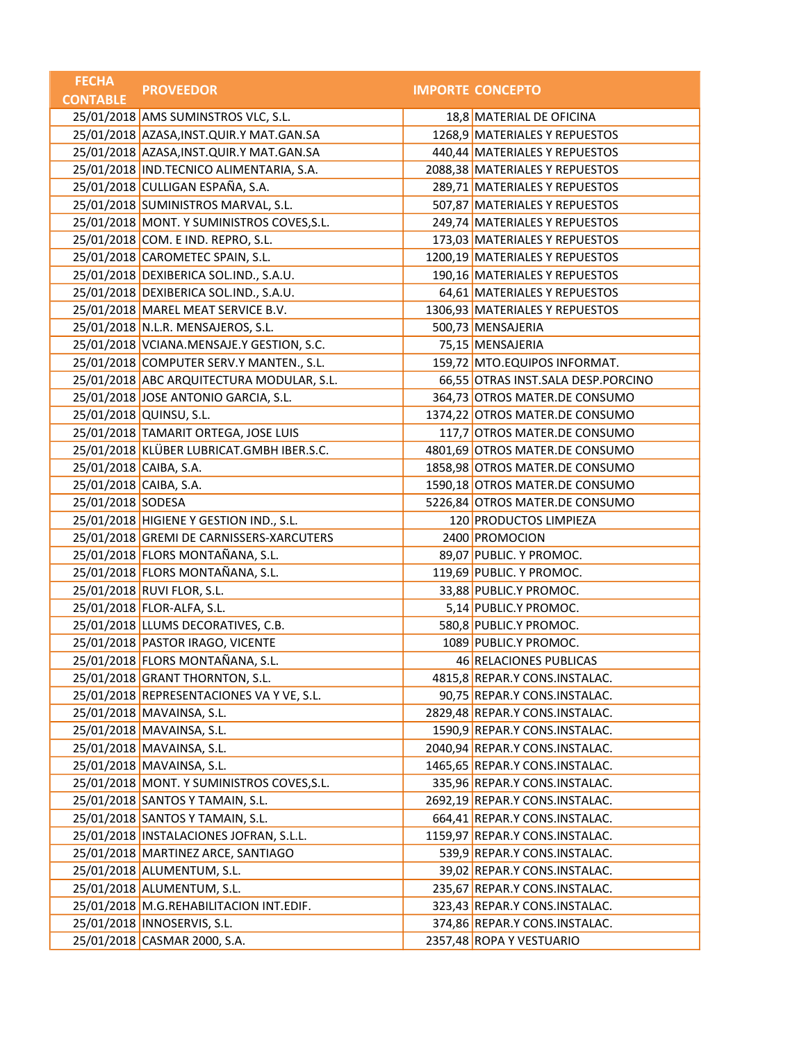| <b>FECHA</b>           | <b>PROVEEDOR</b>                           | <b>IMPORTE CONCEPTO</b>            |
|------------------------|--------------------------------------------|------------------------------------|
| <b>CONTABLE</b>        |                                            |                                    |
|                        | 25/01/2018 AMS SUMINSTROS VLC, S.L.        | 18,8 MATERIAL DE OFICINA           |
|                        | 25/01/2018 AZASA, INST.QUIR.Y MAT.GAN.SA   | 1268,9 MATERIALES Y REPUESTOS      |
|                        | 25/01/2018 AZASA, INST.QUIR.Y MAT.GAN.SA   | 440,44 MATERIALES Y REPUESTOS      |
|                        | 25/01/2018   IND.TECNICO ALIMENTARIA, S.A. | 2088,38 MATERIALES Y REPUESTOS     |
|                        | 25/01/2018 CULLIGAN ESPAÑA, S.A.           | 289,71 MATERIALES Y REPUESTOS      |
|                        | 25/01/2018 SUMINISTROS MARVAL, S.L.        | 507,87 MATERIALES Y REPUESTOS      |
|                        | 25/01/2018 MONT. Y SUMINISTROS COVES, S.L. | 249,74 MATERIALES Y REPUESTOS      |
|                        | 25/01/2018 COM. E IND. REPRO, S.L.         | 173,03 MATERIALES Y REPUESTOS      |
|                        | 25/01/2018 CAROMETEC SPAIN, S.L.           | 1200,19 MATERIALES Y REPUESTOS     |
|                        | 25/01/2018 DEXIBERICA SOL.IND., S.A.U.     | 190,16 MATERIALES Y REPUESTOS      |
|                        | 25/01/2018 DEXIBERICA SOL.IND., S.A.U.     | 64,61 MATERIALES Y REPUESTOS       |
|                        | 25/01/2018 MAREL MEAT SERVICE B.V.         | 1306,93 MATERIALES Y REPUESTOS     |
|                        | 25/01/2018 N.L.R. MENSAJEROS, S.L.         | 500,73 MENSAJERIA                  |
|                        | 25/01/2018 VCIANA.MENSAJE.Y GESTION, S.C.  | 75,15 MENSAJERIA                   |
|                        | 25/01/2018 COMPUTER SERV.Y MANTEN., S.L.   | 159,72 MTO.EQUIPOS INFORMAT.       |
|                        | 25/01/2018 ABC ARQUITECTURA MODULAR, S.L.  | 66,55 OTRAS INST.SALA DESP.PORCINO |
|                        | 25/01/2018 JOSE ANTONIO GARCIA, S.L.       | 364,73 OTROS MATER.DE CONSUMO      |
|                        | 25/01/2018 QUINSU, S.L.                    | 1374,22 OTROS MATER.DE CONSUMO     |
|                        | 25/01/2018 TAMARIT ORTEGA, JOSE LUIS       | 117,7 OTROS MATER.DE CONSUMO       |
|                        | 25/01/2018 KLÜBER LUBRICAT.GMBH IBER.S.C.  | 4801,69 OTROS MATER.DE CONSUMO     |
| 25/01/2018 CAIBA, S.A. |                                            | 1858,98 OTROS MATER.DE CONSUMO     |
| 25/01/2018 CAIBA, S.A. |                                            | 1590,18 OTROS MATER.DE CONSUMO     |
| 25/01/2018 SODESA      |                                            | 5226,84 OTROS MATER.DE CONSUMO     |
|                        | 25/01/2018 HIGIENE Y GESTION IND., S.L.    | 120 PRODUCTOS LIMPIEZA             |
|                        | 25/01/2018 GREMI DE CARNISSERS-XARCUTERS   | 2400 PROMOCION                     |
|                        | 25/01/2018 FLORS MONTAÑANA, S.L.           | 89,07 PUBLIC. Y PROMOC.            |
|                        | 25/01/2018 FLORS MONTAÑANA, S.L.           | 119,69 PUBLIC. Y PROMOC.           |
|                        | 25/01/2018 RUVI FLOR, S.L.                 | 33,88 PUBLIC.Y PROMOC.             |
|                        | 25/01/2018 FLOR-ALFA, S.L.                 | 5,14 PUBLIC.Y PROMOC.              |
|                        | 25/01/2018 LLUMS DECORATIVES, C.B.         | 580,8 PUBLIC.Y PROMOC.             |
|                        | 25/01/2018 PASTOR IRAGO, VICENTE           | 1089 PUBLIC.Y PROMOC.              |
|                        | 25/01/2018 FLORS MONTAÑANA, S.L.           | 46 RELACIONES PUBLICAS             |
|                        | 25/01/2018 GRANT THORNTON, S.L.            | 4815,8 REPAR.Y CONS.INSTALAC.      |
|                        | 25/01/2018 REPRESENTACIONES VA Y VE, S.L.  | 90,75 REPAR.Y CONS.INSTALAC.       |
|                        | 25/01/2018 MAVAINSA, S.L.                  | 2829,48 REPAR.Y CONS.INSTALAC.     |
|                        | 25/01/2018 MAVAINSA, S.L.                  | 1590,9 REPAR.Y CONS.INSTALAC.      |
|                        | 25/01/2018 MAVAINSA, S.L.                  | 2040,94 REPAR.Y CONS.INSTALAC.     |
|                        | 25/01/2018 MAVAINSA, S.L.                  | 1465,65 REPAR.Y CONS.INSTALAC.     |
|                        | 25/01/2018 MONT. Y SUMINISTROS COVES, S.L. | 335,96 REPAR.Y CONS.INSTALAC.      |
|                        | 25/01/2018 SANTOS Y TAMAIN, S.L.           | 2692,19 REPAR.Y CONS.INSTALAC.     |
|                        | 25/01/2018 SANTOS Y TAMAIN, S.L.           | 664,41 REPAR.Y CONS.INSTALAC.      |
|                        | 25/01/2018 INSTALACIONES JOFRAN, S.L.L.    | 1159,97 REPAR.Y CONS.INSTALAC.     |
|                        | 25/01/2018 MARTINEZ ARCE, SANTIAGO         | 539,9 REPAR.Y CONS.INSTALAC.       |
|                        | 25/01/2018 ALUMENTUM, S.L.                 | 39,02 REPAR.Y CONS.INSTALAC.       |
|                        | 25/01/2018 ALUMENTUM, S.L.                 | 235,67 REPAR.Y CONS.INSTALAC.      |
|                        | 25/01/2018 M.G.REHABILITACION INT.EDIF.    | 323,43 REPAR.Y CONS.INSTALAC.      |
|                        | 25/01/2018   INNOSERVIS, S.L.              | 374,86 REPAR.Y CONS.INSTALAC.      |
|                        | 25/01/2018 CASMAR 2000, S.A.               | 2357,48 ROPA Y VESTUARIO           |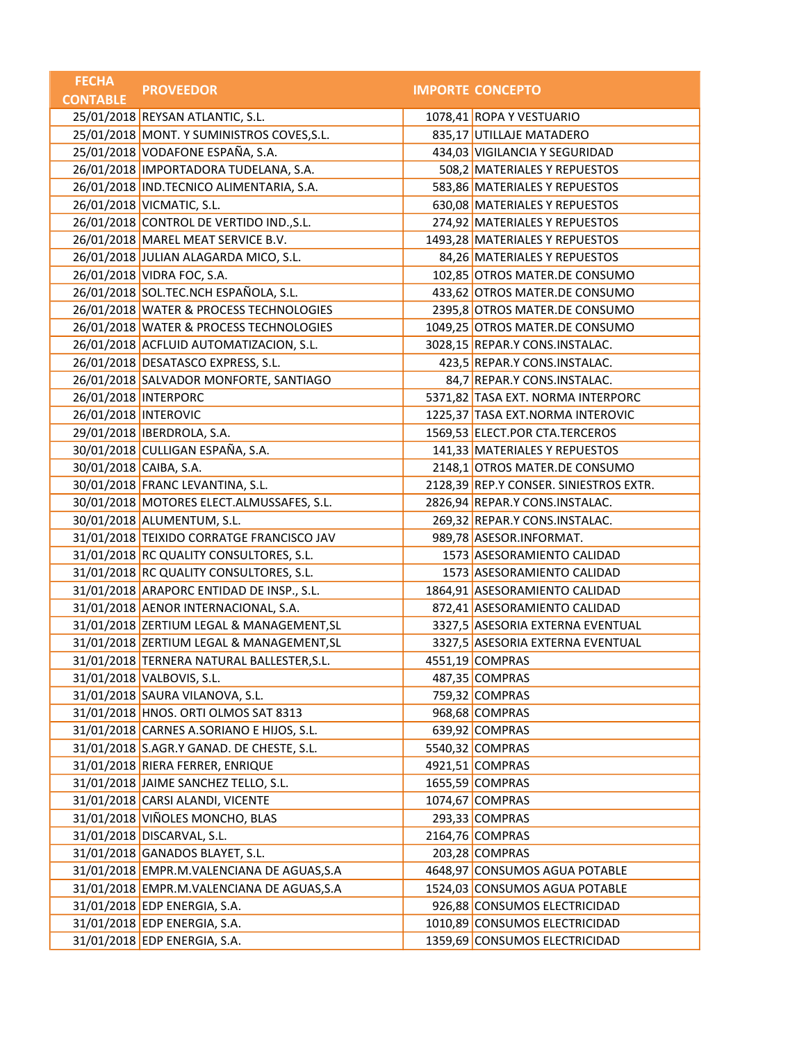| <b>FECHA</b>           | <b>PROVEEDOR</b>                           | <b>IMPORTE CONCEPTO</b>                |
|------------------------|--------------------------------------------|----------------------------------------|
| <b>CONTABLE</b>        |                                            |                                        |
|                        | 25/01/2018 REYSAN ATLANTIC, S.L.           | 1078,41 ROPA Y VESTUARIO               |
|                        | 25/01/2018 MONT. Y SUMINISTROS COVES, S.L. | 835,17 UTILLAJE MATADERO               |
|                        | 25/01/2018 VODAFONE ESPAÑA, S.A.           | 434,03 VIGILANCIA Y SEGURIDAD          |
|                        | 26/01/2018 IMPORTADORA TUDELANA, S.A.      | 508,2 MATERIALES Y REPUESTOS           |
|                        | 26/01/2018 IND.TECNICO ALIMENTARIA, S.A.   | 583,86 MATERIALES Y REPUESTOS          |
|                        | 26/01/2018 VICMATIC, S.L.                  | 630,08 MATERIALES Y REPUESTOS          |
|                        | 26/01/2018 CONTROL DE VERTIDO IND., S.L.   | 274,92 MATERIALES Y REPUESTOS          |
|                        | 26/01/2018 MAREL MEAT SERVICE B.V.         | 1493,28 MATERIALES Y REPUESTOS         |
|                        | 26/01/2018 JULIAN ALAGARDA MICO, S.L.      | 84,26 MATERIALES Y REPUESTOS           |
|                        | 26/01/2018 VIDRA FOC, S.A.                 | 102,85 OTROS MATER.DE CONSUMO          |
|                        | 26/01/2018 SOL.TEC.NCH ESPAÑOLA, S.L.      | 433,62 OTROS MATER.DE CONSUMO          |
|                        | 26/01/2018 WATER & PROCESS TECHNOLOGIES    | 2395,8 OTROS MATER.DE CONSUMO          |
|                        | 26/01/2018 WATER & PROCESS TECHNOLOGIES    | 1049,25 OTROS MATER.DE CONSUMO         |
|                        | 26/01/2018 ACFLUID AUTOMATIZACION, S.L.    | 3028,15 REPAR.Y CONS.INSTALAC.         |
|                        | 26/01/2018 DESATASCO EXPRESS, S.L.         | 423,5 REPAR.Y CONS.INSTALAC.           |
|                        | 26/01/2018 SALVADOR MONFORTE, SANTIAGO     | 84,7 REPAR.Y CONS.INSTALAC.            |
| 26/01/2018 INTERPORC   |                                            | 5371,82 TASA EXT. NORMA INTERPORC      |
| 26/01/2018 INTEROVIC   |                                            | 1225,37 TASA EXT.NORMA INTEROVIC       |
|                        | 29/01/2018   IBERDROLA, S.A.               | 1569,53 ELECT.POR CTA.TERCEROS         |
|                        | 30/01/2018 CULLIGAN ESPAÑA, S.A.           | 141,33 MATERIALES Y REPUESTOS          |
| 30/01/2018 CAIBA, S.A. |                                            | 2148,1 OTROS MATER.DE CONSUMO          |
|                        | 30/01/2018 FRANC LEVANTINA, S.L.           | 2128,39 REP.Y CONSER. SINIESTROS EXTR. |
|                        | 30/01/2018 MOTORES ELECT.ALMUSSAFES, S.L.  | 2826,94 REPAR.Y CONS.INSTALAC.         |
|                        | 30/01/2018 ALUMENTUM, S.L.                 | 269,32 REPAR.Y CONS.INSTALAC.          |
|                        | 31/01/2018 TEIXIDO CORRATGE FRANCISCO JAV  | 989,78 ASESOR.INFORMAT.                |
|                        | 31/01/2018 RC QUALITY CONSULTORES, S.L.    | 1573 ASESORAMIENTO CALIDAD             |
|                        | 31/01/2018 RC QUALITY CONSULTORES, S.L.    | 1573 ASESORAMIENTO CALIDAD             |
|                        | 31/01/2018 ARAPORC ENTIDAD DE INSP., S.L.  | 1864,91 ASESORAMIENTO CALIDAD          |
|                        | 31/01/2018 AENOR INTERNACIONAL, S.A.       | 872,41 ASESORAMIENTO CALIDAD           |
|                        | 31/01/2018 ZERTIUM LEGAL & MANAGEMENT, SL  | 3327,5 ASESORIA EXTERNA EVENTUAL       |
|                        | 31/01/2018 ZERTIUM LEGAL & MANAGEMENT, SL  | 3327,5 ASESORIA EXTERNA EVENTUAL       |
|                        | 31/01/2018 TERNERA NATURAL BALLESTER,S.L.  | 4551,19 COMPRAS                        |
|                        | 31/01/2018 VALBOVIS, S.L.                  | 487,35 COMPRAS                         |
|                        | 31/01/2018 SAURA VILANOVA, S.L.            | 759,32 COMPRAS                         |
|                        | 31/01/2018 HNOS. ORTI OLMOS SAT 8313       | 968,68 COMPRAS                         |
|                        | 31/01/2018 CARNES A.SORIANO E HIJOS, S.L.  | 639,92 COMPRAS                         |
|                        | 31/01/2018 S.AGR.Y GANAD. DE CHESTE, S.L.  | 5540,32 COMPRAS                        |
|                        | 31/01/2018 RIERA FERRER, ENRIQUE           | 4921,51 COMPRAS                        |
|                        | 31/01/2018 JAIME SANCHEZ TELLO, S.L.       | 1655,59 COMPRAS                        |
|                        | 31/01/2018 CARSI ALANDI, VICENTE           | 1074,67 COMPRAS                        |
|                        | 31/01/2018 VIÑOLES MONCHO, BLAS            | 293,33 COMPRAS                         |
|                        | 31/01/2018 DISCARVAL, S.L.                 | 2164,76 COMPRAS                        |
|                        | 31/01/2018 GANADOS BLAYET, S.L.            | 203,28 COMPRAS                         |
|                        | 31/01/2018 EMPR.M.VALENCIANA DE AGUAS, S.A | 4648,97 CONSUMOS AGUA POTABLE          |
|                        | 31/01/2018 EMPR.M.VALENCIANA DE AGUAS, S.A | 1524,03 CONSUMOS AGUA POTABLE          |
|                        | 31/01/2018 EDP ENERGIA, S.A.               | 926,88 CONSUMOS ELECTRICIDAD           |
|                        | 31/01/2018 EDP ENERGIA, S.A.               | 1010,89 CONSUMOS ELECTRICIDAD          |
|                        | 31/01/2018 EDP ENERGIA, S.A.               | 1359,69 CONSUMOS ELECTRICIDAD          |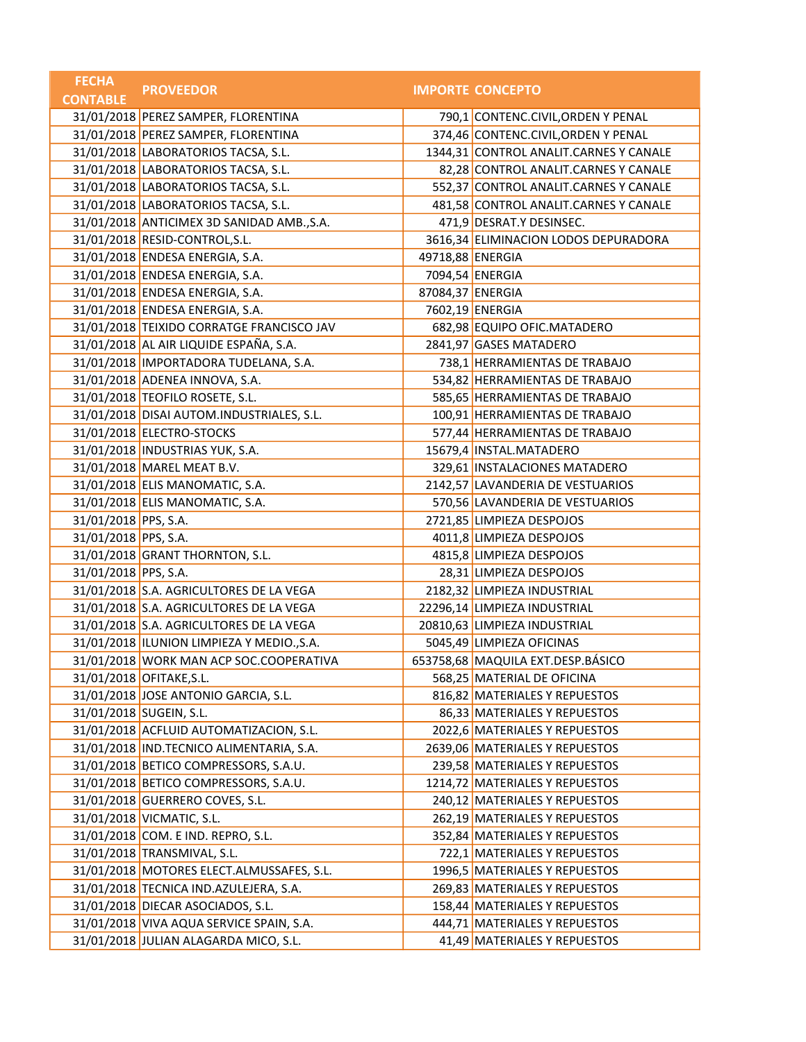| <b>FECHA</b>         | <b>PROVEEDOR</b>                           |                  | <b>IMPORTE CONCEPTO</b>                |
|----------------------|--------------------------------------------|------------------|----------------------------------------|
| <b>CONTABLE</b>      |                                            |                  |                                        |
|                      | 31/01/2018 PEREZ SAMPER, FLORENTINA        |                  | 790,1 CONTENC.CIVIL, ORDEN Y PENAL     |
|                      | 31/01/2018 PEREZ SAMPER, FLORENTINA        |                  | 374,46 CONTENC.CIVIL, ORDEN Y PENAL    |
|                      | 31/01/2018 LABORATORIOS TACSA, S.L.        |                  | 1344,31 CONTROL ANALIT.CARNES Y CANALE |
|                      | 31/01/2018 LABORATORIOS TACSA, S.L.        |                  | 82,28 CONTROL ANALIT.CARNES Y CANALE   |
|                      | 31/01/2018 LABORATORIOS TACSA, S.L.        |                  | 552,37 CONTROL ANALIT.CARNES Y CANALE  |
|                      | 31/01/2018 LABORATORIOS TACSA, S.L.        |                  | 481,58 CONTROL ANALIT.CARNES Y CANALE  |
|                      | 31/01/2018 ANTICIMEX 3D SANIDAD AMB., S.A. |                  | 471,9 DESRAT.Y DESINSEC.               |
|                      | 31/01/2018 RESID-CONTROL, S.L.             |                  | 3616,34 ELIMINACION LODOS DEPURADORA   |
|                      | 31/01/2018 ENDESA ENERGIA, S.A.            | 49718,88 ENERGIA |                                        |
|                      | 31/01/2018 ENDESA ENERGIA, S.A.            |                  | 7094,54 ENERGIA                        |
|                      | 31/01/2018 ENDESA ENERGIA, S.A.            | 87084,37 ENERGIA |                                        |
|                      | 31/01/2018 ENDESA ENERGIA, S.A.            |                  | 7602,19 ENERGIA                        |
|                      | 31/01/2018 TEIXIDO CORRATGE FRANCISCO JAV  |                  | 682,98 EQUIPO OFIC.MATADERO            |
|                      | 31/01/2018 AL AIR LIQUIDE ESPAÑA, S.A.     |                  | 2841,97 GASES MATADERO                 |
|                      | 31/01/2018   IMPORTADORA TUDELANA, S.A.    |                  | 738,1 HERRAMIENTAS DE TRABAJO          |
|                      | 31/01/2018 ADENEA INNOVA, S.A.             |                  | 534,82 HERRAMIENTAS DE TRABAJO         |
|                      | 31/01/2018 TEOFILO ROSETE, S.L.            |                  | 585,65 HERRAMIENTAS DE TRABAJO         |
|                      | 31/01/2018 DISAI AUTOM.INDUSTRIALES, S.L.  |                  | 100,91 HERRAMIENTAS DE TRABAJO         |
|                      | 31/01/2018 ELECTRO-STOCKS                  |                  | 577,44 HERRAMIENTAS DE TRABAJO         |
|                      | 31/01/2018   INDUSTRIAS YUK, S.A.          |                  | 15679,4 INSTAL.MATADERO                |
|                      | 31/01/2018 MAREL MEAT B.V.                 |                  | 329,61   INSTALACIONES MATADERO        |
|                      | 31/01/2018 ELIS MANOMATIC, S.A.            |                  | 2142,57 LAVANDERIA DE VESTUARIOS       |
|                      | 31/01/2018 ELIS MANOMATIC, S.A.            |                  | 570,56 LAVANDERIA DE VESTUARIOS        |
| 31/01/2018 PPS, S.A. |                                            |                  | 2721,85 LIMPIEZA DESPOJOS              |
| 31/01/2018 PPS, S.A. |                                            |                  | 4011,8 LIMPIEZA DESPOJOS               |
|                      | 31/01/2018 GRANT THORNTON, S.L.            |                  | 4815,8 LIMPIEZA DESPOJOS               |
| 31/01/2018 PPS, S.A. |                                            |                  | 28,31 LIMPIEZA DESPOJOS                |
|                      | 31/01/2018 S.A. AGRICULTORES DE LA VEGA    |                  | 2182,32 LIMPIEZA INDUSTRIAL            |
|                      | 31/01/2018 S.A. AGRICULTORES DE LA VEGA    |                  | 22296,14 LIMPIEZA INDUSTRIAL           |
|                      | 31/01/2018 S.A. AGRICULTORES DE LA VEGA    |                  | 20810,63 LIMPIEZA INDUSTRIAL           |
|                      | 31/01/2018 ILUNION LIMPIEZA Y MEDIO., S.A. |                  | 5045,49 LIMPIEZA OFICINAS              |
|                      | 31/01/2018 WORK MAN ACP SOC.COOPERATIVA    |                  | 653758,68 MAQUILA EXT.DESP.BÁSICO      |
|                      | 31/01/2018 OFITAKE, S.L.                   |                  | 568,25 MATERIAL DE OFICINA             |
|                      | 31/01/2018 JOSE ANTONIO GARCIA, S.L.       |                  | 816,82 MATERIALES Y REPUESTOS          |
|                      | 31/01/2018 SUGEIN, S.L.                    |                  | 86,33 MATERIALES Y REPUESTOS           |
|                      | 31/01/2018 ACFLUID AUTOMATIZACION, S.L.    |                  | 2022,6 MATERIALES Y REPUESTOS          |
|                      | 31/01/2018 IND.TECNICO ALIMENTARIA, S.A.   |                  | 2639,06 MATERIALES Y REPUESTOS         |
|                      | 31/01/2018 BETICO COMPRESSORS, S.A.U.      |                  | 239,58 MATERIALES Y REPUESTOS          |
|                      | 31/01/2018 BETICO COMPRESSORS, S.A.U.      |                  | 1214,72 MATERIALES Y REPUESTOS         |
|                      | 31/01/2018 GUERRERO COVES, S.L.            |                  | 240,12 MATERIALES Y REPUESTOS          |
|                      | 31/01/2018 VICMATIC, S.L.                  |                  | 262,19 MATERIALES Y REPUESTOS          |
|                      | 31/01/2018 COM. E IND. REPRO, S.L.         |                  | 352,84 MATERIALES Y REPUESTOS          |
|                      | 31/01/2018 TRANSMIVAL, S.L.                |                  | 722,1 MATERIALES Y REPUESTOS           |
|                      | 31/01/2018 MOTORES ELECT.ALMUSSAFES, S.L.  |                  | 1996,5 MATERIALES Y REPUESTOS          |
|                      | 31/01/2018 TECNICA IND.AZULEJERA, S.A.     |                  | 269,83 MATERIALES Y REPUESTOS          |
|                      | 31/01/2018 DIECAR ASOCIADOS, S.L.          |                  | 158,44 MATERIALES Y REPUESTOS          |
|                      | 31/01/2018 VIVA AQUA SERVICE SPAIN, S.A.   |                  | 444,71 MATERIALES Y REPUESTOS          |
|                      | 31/01/2018 JULIAN ALAGARDA MICO, S.L.      |                  | 41,49 MATERIALES Y REPUESTOS           |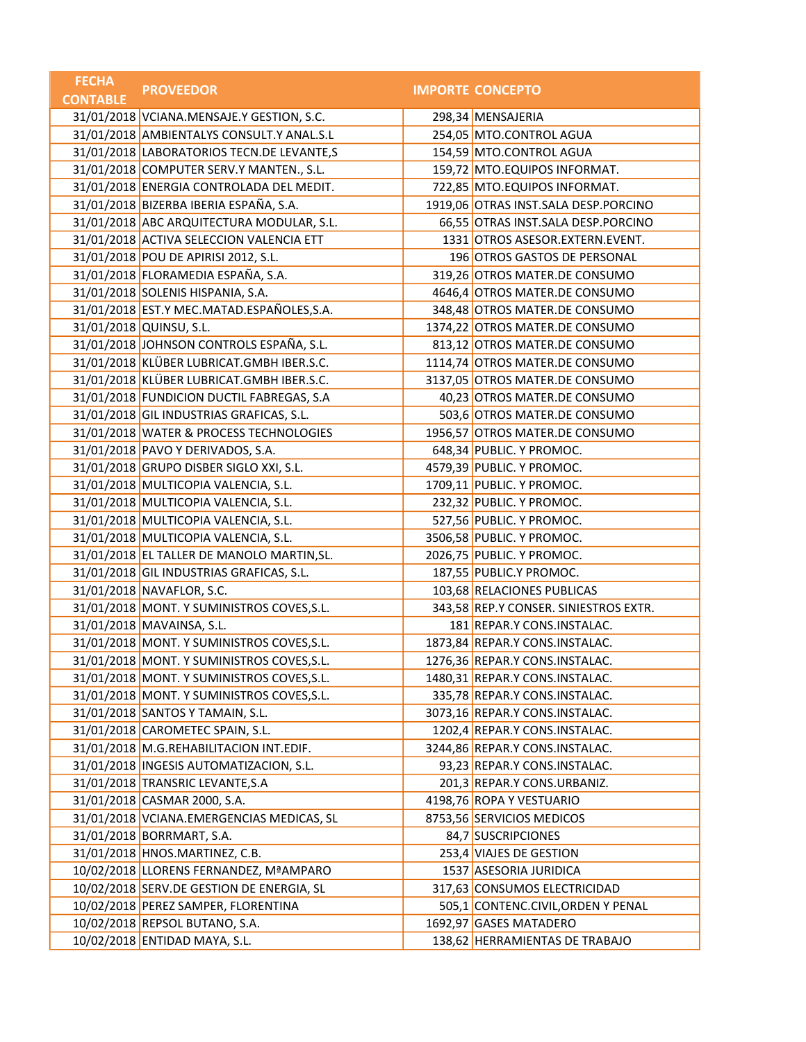| <b>FECHA</b>    | <b>PROVEEDOR</b>                           | <b>IMPORTE CONCEPTO</b>               |
|-----------------|--------------------------------------------|---------------------------------------|
| <b>CONTABLE</b> |                                            |                                       |
|                 | 31/01/2018 VCIANA.MENSAJE.Y GESTION, S.C.  | 298,34 MENSAJERIA                     |
|                 | 31/01/2018 AMBIENTALYS CONSULT.Y ANAL.S.L  | 254,05 MTO.CONTROL AGUA               |
|                 | 31/01/2018 LABORATORIOS TECN.DE LEVANTE,S  | 154,59 MTO.CONTROL AGUA               |
|                 | 31/01/2018 COMPUTER SERV.Y MANTEN., S.L.   | 159,72 MTO.EQUIPOS INFORMAT.          |
|                 | 31/01/2018 ENERGIA CONTROLADA DEL MEDIT.   | 722,85 MTO.EQUIPOS INFORMAT.          |
|                 | 31/01/2018 BIZERBA IBERIA ESPAÑA, S.A.     | 1919,06 OTRAS INST.SALA DESP.PORCINO  |
|                 | 31/01/2018 ABC ARQUITECTURA MODULAR, S.L.  | 66,55 OTRAS INST.SALA DESP.PORCINO    |
|                 | 31/01/2018 ACTIVA SELECCION VALENCIA ETT   | 1331 OTROS ASESOR.EXTERN.EVENT.       |
|                 | 31/01/2018 POU DE APIRISI 2012, S.L.       | 196 OTROS GASTOS DE PERSONAL          |
|                 | 31/01/2018 FLORAMEDIA ESPAÑA, S.A.         | 319,26 OTROS MATER.DE CONSUMO         |
|                 | 31/01/2018 SOLENIS HISPANIA, S.A.          | 4646,4 OTROS MATER.DE CONSUMO         |
|                 | 31/01/2018 EST.Y MEC.MATAD.ESPAÑOLES,S.A.  | 348,48 OTROS MATER.DE CONSUMO         |
|                 | 31/01/2018 QUINSU, S.L.                    | 1374,22 OTROS MATER.DE CONSUMO        |
|                 | 31/01/2018 JOHNSON CONTROLS ESPAÑA, S.L.   | 813,12 OTROS MATER.DE CONSUMO         |
|                 | 31/01/2018 KLÜBER LUBRICAT.GMBH IBER.S.C.  | 1114,74 OTROS MATER.DE CONSUMO        |
|                 | 31/01/2018 KLÜBER LUBRICAT.GMBH IBER.S.C.  | 3137,05 OTROS MATER.DE CONSUMO        |
|                 | 31/01/2018 FUNDICION DUCTIL FABREGAS, S.A  | 40,23 OTROS MATER.DE CONSUMO          |
|                 | 31/01/2018 GIL INDUSTRIAS GRAFICAS, S.L.   | 503,6 OTROS MATER.DE CONSUMO          |
|                 | 31/01/2018 WATER & PROCESS TECHNOLOGIES    | 1956,57 OTROS MATER.DE CONSUMO        |
|                 | 31/01/2018 PAVO Y DERIVADOS, S.A.          | 648,34 PUBLIC. Y PROMOC.              |
|                 | 31/01/2018 GRUPO DISBER SIGLO XXI, S.L.    | 4579,39 PUBLIC. Y PROMOC.             |
|                 | 31/01/2018 MULTICOPIA VALENCIA, S.L.       | 1709,11 PUBLIC. Y PROMOC.             |
|                 | 31/01/2018 MULTICOPIA VALENCIA, S.L.       | 232,32 PUBLIC. Y PROMOC.              |
|                 | 31/01/2018 MULTICOPIA VALENCIA, S.L.       | 527,56 PUBLIC. Y PROMOC.              |
|                 | 31/01/2018 MULTICOPIA VALENCIA, S.L.       | 3506,58 PUBLIC. Y PROMOC.             |
|                 | 31/01/2018 EL TALLER DE MANOLO MARTIN, SL. | 2026,75 PUBLIC. Y PROMOC.             |
|                 | 31/01/2018 GIL INDUSTRIAS GRAFICAS, S.L.   | 187,55 PUBLIC.Y PROMOC.               |
|                 | 31/01/2018 NAVAFLOR, S.C.                  | 103,68 RELACIONES PUBLICAS            |
|                 | 31/01/2018 MONT. Y SUMINISTROS COVES, S.L. | 343,58 REP.Y CONSER. SINIESTROS EXTR. |
|                 | 31/01/2018 MAVAINSA, S.L.                  | 181 REPAR.Y CONS.INSTALAC.            |
|                 | 31/01/2018 MONT. Y SUMINISTROS COVES, S.L. | 1873,84 REPAR.Y CONS.INSTALAC.        |
|                 | 31/01/2018 MONT. Y SUMINISTROS COVES, S.L. | 1276,36 REPAR.Y CONS.INSTALAC.        |
|                 | 31/01/2018 MONT. Y SUMINISTROS COVES, S.L. | 1480,31 REPAR.Y CONS.INSTALAC.        |
|                 | 31/01/2018 MONT. Y SUMINISTROS COVES, S.L. | 335,78 REPAR.Y CONS.INSTALAC.         |
|                 | 31/01/2018 SANTOS Y TAMAIN, S.L.           | 3073,16 REPAR.Y CONS.INSTALAC.        |
|                 | 31/01/2018 CAROMETEC SPAIN, S.L.           | 1202,4 REPAR.Y CONS.INSTALAC.         |
|                 | 31/01/2018 M.G.REHABILITACION INT.EDIF.    | 3244,86 REPAR.Y CONS.INSTALAC.        |
|                 | 31/01/2018   INGESIS AUTOMATIZACION, S.L.  | 93,23 REPAR.Y CONS.INSTALAC.          |
|                 | 31/01/2018 TRANSRIC LEVANTE, S.A           | 201,3 REPAR.Y CONS.URBANIZ.           |
|                 | 31/01/2018 CASMAR 2000, S.A.               | 4198,76 ROPA Y VESTUARIO              |
|                 | 31/01/2018 VCIANA.EMERGENCIAS MEDICAS, SL  | 8753,56 SERVICIOS MEDICOS             |
|                 | 31/01/2018 BORRMART, S.A.                  | 84,7 SUSCRIPCIONES                    |
|                 | 31/01/2018 HNOS.MARTINEZ, C.B.             | 253,4 VIAJES DE GESTION               |
|                 | 10/02/2018 LLORENS FERNANDEZ, MªAMPARO     | 1537 ASESORIA JURIDICA                |
|                 | 10/02/2018 SERV.DE GESTION DE ENERGIA, SL  | 317,63 CONSUMOS ELECTRICIDAD          |
|                 | 10/02/2018 PEREZ SAMPER, FLORENTINA        | 505,1 CONTENC.CIVIL, ORDEN Y PENAL    |
|                 | 10/02/2018 REPSOL BUTANO, S.A.             | 1692,97 GASES MATADERO                |
|                 | 10/02/2018 ENTIDAD MAYA, S.L.              | 138,62 HERRAMIENTAS DE TRABAJO        |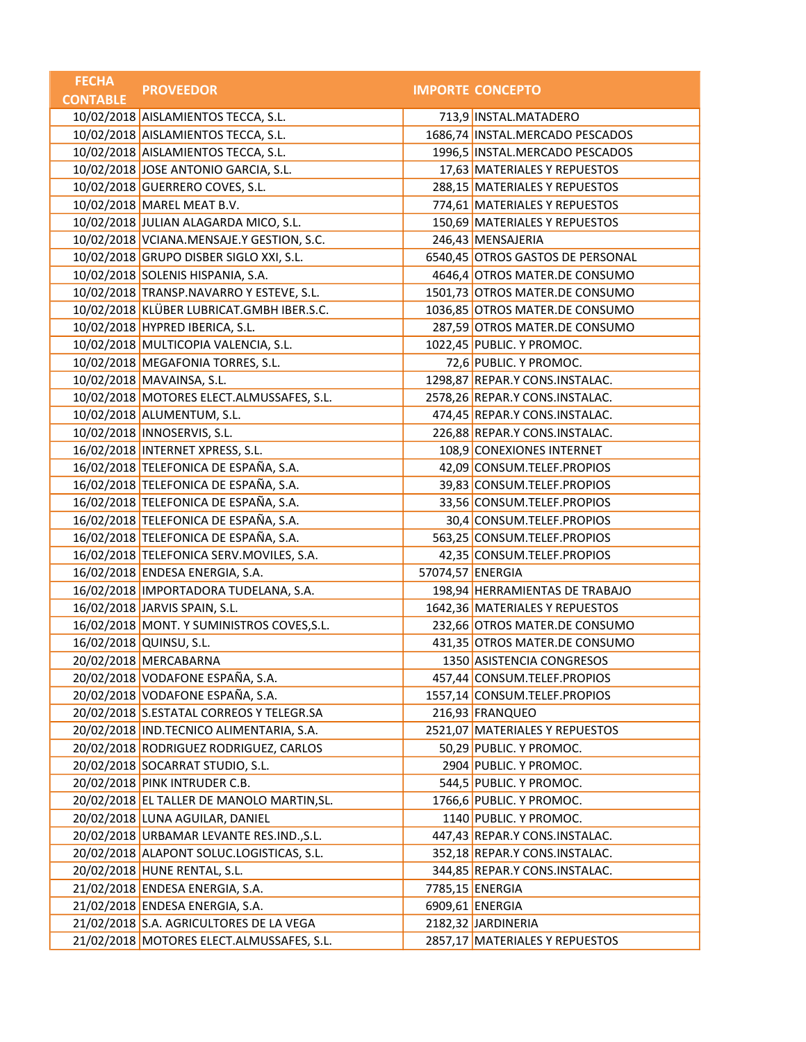| <b>FECHA</b>    | <b>PROVEEDOR</b>                           |                  | <b>IMPORTE CONCEPTO</b>          |
|-----------------|--------------------------------------------|------------------|----------------------------------|
| <b>CONTABLE</b> |                                            |                  |                                  |
|                 | 10/02/2018 AISLAMIENTOS TECCA, S.L.        |                  | 713,9 INSTAL.MATADERO            |
|                 | 10/02/2018 AISLAMIENTOS TECCA, S.L.        |                  | 1686,74 INSTAL.MERCADO PESCADOS  |
|                 | 10/02/2018 AISLAMIENTOS TECCA, S.L.        |                  | 1996,5 INSTAL.MERCADO PESCADOS   |
|                 | 10/02/2018 JOSE ANTONIO GARCIA, S.L.       |                  | 17,63 MATERIALES Y REPUESTOS     |
|                 | 10/02/2018 GUERRERO COVES, S.L.            |                  | 288,15 MATERIALES Y REPUESTOS    |
|                 | 10/02/2018 MAREL MEAT B.V.                 |                  | 774,61 MATERIALES Y REPUESTOS    |
|                 | 10/02/2018 JULIAN ALAGARDA MICO, S.L.      |                  | 150,69 MATERIALES Y REPUESTOS    |
|                 | 10/02/2018 VCIANA.MENSAJE.Y GESTION, S.C.  |                  | 246,43 MENSAJERIA                |
|                 | 10/02/2018 GRUPO DISBER SIGLO XXI, S.L.    |                  | 6540,45 OTROS GASTOS DE PERSONAL |
|                 | 10/02/2018 SOLENIS HISPANIA, S.A.          |                  | 4646,4 OTROS MATER.DE CONSUMO    |
|                 | 10/02/2018 TRANSP.NAVARRO Y ESTEVE, S.L.   |                  | 1501,73 OTROS MATER.DE CONSUMO   |
|                 | 10/02/2018 KLÜBER LUBRICAT.GMBH IBER.S.C.  |                  | 1036,85 OTROS MATER.DE CONSUMO   |
|                 | 10/02/2018 HYPRED IBERICA, S.L.            |                  | 287,59 OTROS MATER.DE CONSUMO    |
|                 | 10/02/2018 MULTICOPIA VALENCIA, S.L.       |                  | 1022,45 PUBLIC. Y PROMOC.        |
|                 | 10/02/2018 MEGAFONIA TORRES, S.L.          |                  | 72,6 PUBLIC. Y PROMOC.           |
|                 | 10/02/2018 MAVAINSA, S.L.                  |                  | 1298,87 REPAR.Y CONS.INSTALAC.   |
|                 | 10/02/2018 MOTORES ELECT.ALMUSSAFES, S.L.  |                  | 2578,26 REPAR.Y CONS.INSTALAC.   |
|                 | 10/02/2018 ALUMENTUM, S.L.                 |                  | 474,45 REPAR.Y CONS.INSTALAC.    |
|                 | 10/02/2018 INNOSERVIS, S.L.                |                  | 226,88 REPAR.Y CONS.INSTALAC.    |
|                 | 16/02/2018   INTERNET XPRESS, S.L.         |                  | 108,9 CONEXIONES INTERNET        |
|                 | 16/02/2018 TELEFONICA DE ESPAÑA, S.A.      |                  | 42,09 CONSUM.TELEF.PROPIOS       |
|                 | 16/02/2018 TELEFONICA DE ESPAÑA, S.A.      |                  | 39,83 CONSUM.TELEF.PROPIOS       |
|                 | 16/02/2018 TELEFONICA DE ESPAÑA, S.A.      |                  | 33,56 CONSUM.TELEF.PROPIOS       |
|                 | 16/02/2018 TELEFONICA DE ESPAÑA, S.A.      |                  | 30,4 CONSUM.TELEF.PROPIOS        |
|                 | 16/02/2018 TELEFONICA DE ESPAÑA, S.A.      |                  | 563,25 CONSUM.TELEF.PROPIOS      |
|                 | 16/02/2018 TELEFONICA SERV.MOVILES, S.A.   |                  | 42,35 CONSUM.TELEF.PROPIOS       |
|                 | 16/02/2018 ENDESA ENERGIA, S.A.            | 57074,57 ENERGIA |                                  |
|                 | 16/02/2018   IMPORTADORA TUDELANA, S.A.    |                  | 198,94 HERRAMIENTAS DE TRABAJO   |
|                 | 16/02/2018 JARVIS SPAIN, S.L.              |                  | 1642,36 MATERIALES Y REPUESTOS   |
|                 | 16/02/2018 MONT. Y SUMINISTROS COVES, S.L. |                  | 232,66 OTROS MATER.DE CONSUMO    |
|                 | 16/02/2018 QUINSU, S.L.                    |                  | 431,35 OTROS MATER.DE CONSUMO    |
|                 | 20/02/2018 MERCABARNA                      |                  | 1350 ASISTENCIA CONGRESOS        |
|                 | 20/02/2018 VODAFONE ESPAÑA, S.A.           |                  | 457,44 CONSUM.TELEF.PROPIOS      |
|                 | 20/02/2018 VODAFONE ESPAÑA, S.A.           |                  | 1557,14 CONSUM.TELEF.PROPIOS     |
|                 | 20/02/2018 S.ESTATAL CORREOS Y TELEGR.SA   |                  | 216,93 FRANQUEO                  |
|                 | 20/02/2018 IND.TECNICO ALIMENTARIA, S.A.   |                  | 2521,07 MATERIALES Y REPUESTOS   |
|                 | 20/02/2018 RODRIGUEZ RODRIGUEZ, CARLOS     |                  | 50,29 PUBLIC. Y PROMOC.          |
|                 | 20/02/2018 SOCARRAT STUDIO, S.L.           |                  | 2904 PUBLIC. Y PROMOC.           |
|                 | 20/02/2018 PINK INTRUDER C.B.              |                  | 544,5 PUBLIC. Y PROMOC.          |
|                 | 20/02/2018 EL TALLER DE MANOLO MARTIN, SL. |                  | 1766,6 PUBLIC. Y PROMOC.         |
|                 | 20/02/2018 LUNA AGUILAR, DANIEL            |                  | 1140 PUBLIC. Y PROMOC.           |
|                 | 20/02/2018 URBAMAR LEVANTE RES.IND., S.L.  |                  | 447,43 REPAR.Y CONS.INSTALAC.    |
|                 | 20/02/2018 ALAPONT SOLUC.LOGISTICAS, S.L.  |                  | 352,18 REPAR.Y CONS.INSTALAC.    |
|                 | 20/02/2018 HUNE RENTAL, S.L.               |                  | 344,85 REPAR.Y CONS.INSTALAC.    |
|                 | 21/02/2018 ENDESA ENERGIA, S.A.            |                  | 7785,15 ENERGIA                  |
|                 | 21/02/2018 ENDESA ENERGIA, S.A.            |                  | 6909,61 ENERGIA                  |
|                 | 21/02/2018 S.A. AGRICULTORES DE LA VEGA    |                  | 2182,32 JARDINERIA               |
|                 | 21/02/2018 MOTORES ELECT.ALMUSSAFES, S.L.  |                  | 2857,17 MATERIALES Y REPUESTOS   |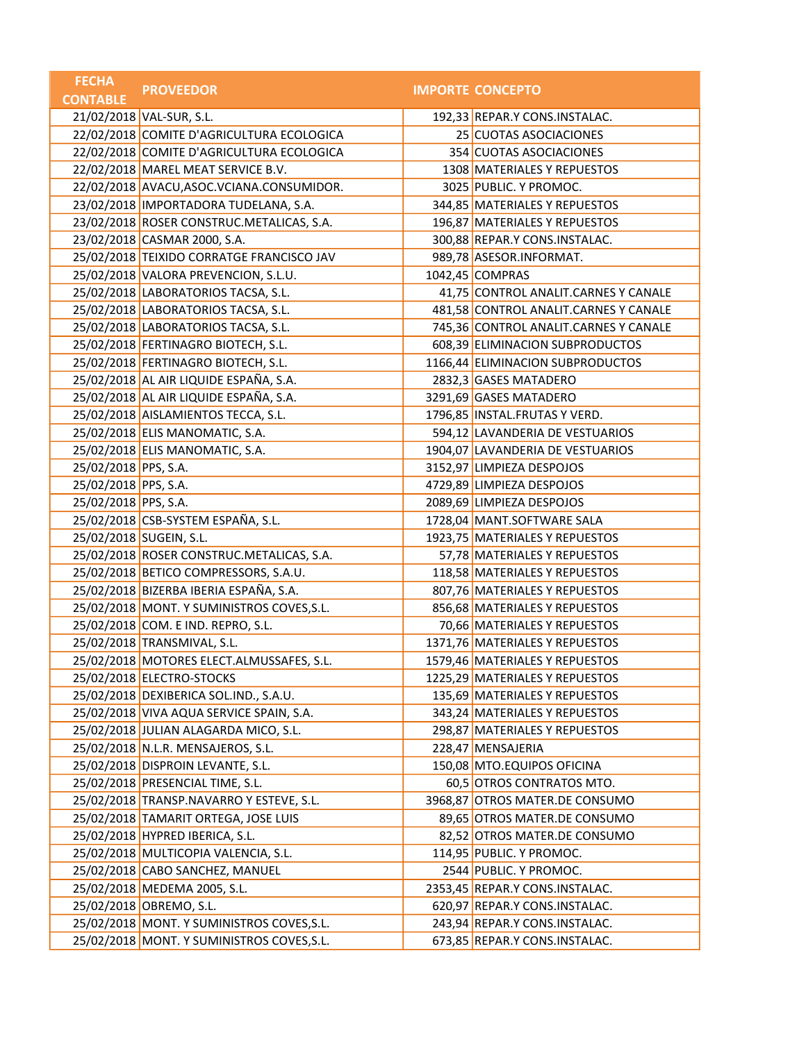| <b>FECHA</b>         | <b>PROVEEDOR</b>                            | <b>IMPORTE CONCEPTO</b>               |
|----------------------|---------------------------------------------|---------------------------------------|
| <b>CONTABLE</b>      |                                             |                                       |
|                      | 21/02/2018 VAL-SUR, S.L.                    | 192,33 REPAR.Y CONS.INSTALAC.         |
|                      | 22/02/2018 COMITE D'AGRICULTURA ECOLOGICA   | 25 CUOTAS ASOCIACIONES                |
|                      | 22/02/2018 COMITE D'AGRICULTURA ECOLOGICA   | 354 CUOTAS ASOCIACIONES               |
|                      | 22/02/2018 MAREL MEAT SERVICE B.V.          | 1308 MATERIALES Y REPUESTOS           |
|                      | 22/02/2018 AVACU, ASOC. VCIANA. CONSUMIDOR. | 3025 PUBLIC. Y PROMOC.                |
|                      | 23/02/2018 IMPORTADORA TUDELANA, S.A.       | 344,85 MATERIALES Y REPUESTOS         |
|                      | 23/02/2018 ROSER CONSTRUC.METALICAS, S.A.   | 196,87 MATERIALES Y REPUESTOS         |
|                      | 23/02/2018 CASMAR 2000, S.A.                | 300,88 REPAR.Y CONS.INSTALAC.         |
|                      | 25/02/2018 TEIXIDO CORRATGE FRANCISCO JAV   | 989,78 ASESOR.INFORMAT.               |
|                      | 25/02/2018 VALORA PREVENCION, S.L.U.        | 1042,45 COMPRAS                       |
|                      | 25/02/2018 LABORATORIOS TACSA, S.L.         | 41,75 CONTROL ANALIT.CARNES Y CANALE  |
|                      | 25/02/2018 LABORATORIOS TACSA, S.L.         | 481,58 CONTROL ANALIT.CARNES Y CANALE |
|                      | 25/02/2018 LABORATORIOS TACSA, S.L.         | 745,36 CONTROL ANALIT.CARNES Y CANALE |
|                      | 25/02/2018 FERTINAGRO BIOTECH, S.L.         | 608,39 ELIMINACION SUBPRODUCTOS       |
|                      | 25/02/2018 FERTINAGRO BIOTECH, S.L.         | 1166,44 ELIMINACION SUBPRODUCTOS      |
|                      | 25/02/2018 AL AIR LIQUIDE ESPAÑA, S.A.      | 2832,3 GASES MATADERO                 |
|                      | 25/02/2018 AL AIR LIQUIDE ESPAÑA, S.A.      | 3291,69 GASES MATADERO                |
|                      | 25/02/2018 AISLAMIENTOS TECCA, S.L.         | 1796,85 INSTAL.FRUTAS Y VERD.         |
|                      | 25/02/2018 ELIS MANOMATIC, S.A.             | 594,12 LAVANDERIA DE VESTUARIOS       |
|                      | 25/02/2018 ELIS MANOMATIC, S.A.             | 1904,07 LAVANDERIA DE VESTUARIOS      |
| 25/02/2018 PPS, S.A. |                                             | 3152,97 LIMPIEZA DESPOJOS             |
| 25/02/2018 PPS, S.A. |                                             | 4729,89 LIMPIEZA DESPOJOS             |
| 25/02/2018 PPS, S.A. |                                             | 2089,69 LIMPIEZA DESPOJOS             |
|                      | 25/02/2018 CSB-SYSTEM ESPAÑA, S.L.          | 1728,04 MANT.SOFTWARE SALA            |
|                      | 25/02/2018 SUGEIN, S.L.                     | 1923,75 MATERIALES Y REPUESTOS        |
|                      | 25/02/2018 ROSER CONSTRUC.METALICAS, S.A.   | 57,78 MATERIALES Y REPUESTOS          |
|                      | 25/02/2018 BETICO COMPRESSORS, S.A.U.       | 118,58 MATERIALES Y REPUESTOS         |
|                      | 25/02/2018 BIZERBA IBERIA ESPAÑA, S.A.      | 807,76 MATERIALES Y REPUESTOS         |
|                      | 25/02/2018 MONT. Y SUMINISTROS COVES, S.L.  | 856,68 MATERIALES Y REPUESTOS         |
|                      | 25/02/2018 COM. E IND. REPRO, S.L.          | 70,66 MATERIALES Y REPUESTOS          |
|                      | 25/02/2018 TRANSMIVAL, S.L.                 | 1371,76 MATERIALES Y REPUESTOS        |
|                      | 25/02/2018 MOTORES ELECT.ALMUSSAFES, S.L.   | 1579,46 MATERIALES Y REPUESTOS        |
|                      | 25/02/2018 ELECTRO-STOCKS                   | 1225,29 MATERIALES Y REPUESTOS        |
|                      | 25/02/2018 DEXIBERICA SOL.IND., S.A.U.      | 135,69 MATERIALES Y REPUESTOS         |
|                      | 25/02/2018 VIVA AQUA SERVICE SPAIN, S.A.    | 343,24 MATERIALES Y REPUESTOS         |
|                      | 25/02/2018 JULIAN ALAGARDA MICO, S.L.       | 298,87 MATERIALES Y REPUESTOS         |
|                      | 25/02/2018 N.L.R. MENSAJEROS, S.L.          | 228,47 MENSAJERIA                     |
|                      | 25/02/2018 DISPROIN LEVANTE, S.L.           | 150,08 MTO.EQUIPOS OFICINA            |
|                      | 25/02/2018 PRESENCIAL TIME, S.L.            | 60,5 OTROS CONTRATOS MTO.             |
|                      | 25/02/2018 TRANSP.NAVARRO Y ESTEVE, S.L.    | 3968,87 OTROS MATER.DE CONSUMO        |
|                      | 25/02/2018 TAMARIT ORTEGA, JOSE LUIS        | 89,65 OTROS MATER.DE CONSUMO          |
|                      | 25/02/2018 HYPRED IBERICA, S.L.             | 82,52 OTROS MATER.DE CONSUMO          |
|                      | 25/02/2018 MULTICOPIA VALENCIA, S.L.        | 114,95 PUBLIC. Y PROMOC.              |
|                      | 25/02/2018 CABO SANCHEZ, MANUEL             | 2544 PUBLIC. Y PROMOC.                |
|                      | 25/02/2018 MEDEMA 2005, S.L.                | 2353,45 REPAR.Y CONS.INSTALAC.        |
|                      | 25/02/2018 OBREMO, S.L.                     | 620,97 REPAR.Y CONS.INSTALAC.         |
|                      | 25/02/2018 MONT. Y SUMINISTROS COVES, S.L.  | 243,94 REPAR.Y CONS.INSTALAC.         |
|                      | 25/02/2018 MONT. Y SUMINISTROS COVES, S.L.  | 673,85 REPAR.Y CONS.INSTALAC.         |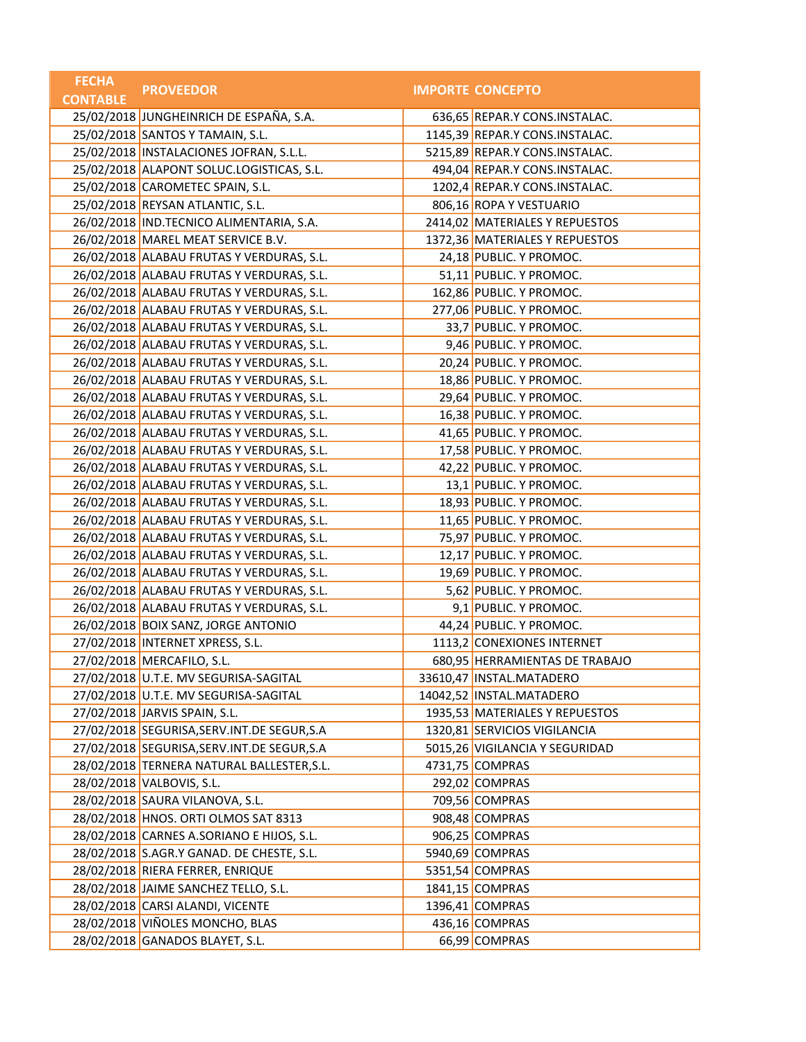| <b>FECHA</b>    | <b>PROVEEDOR</b>                              | <b>IMPORTE CONCEPTO</b>        |
|-----------------|-----------------------------------------------|--------------------------------|
| <b>CONTABLE</b> |                                               |                                |
|                 | 25/02/2018 JUNGHEINRICH DE ESPAÑA, S.A.       | 636,65 REPAR.Y CONS.INSTALAC.  |
|                 | 25/02/2018 SANTOS Y TAMAIN, S.L.              | 1145,39 REPAR.Y CONS.INSTALAC. |
|                 | 25/02/2018   INSTALACIONES JOFRAN, S.L.L.     | 5215,89 REPAR.Y CONS.INSTALAC. |
|                 | 25/02/2018 ALAPONT SOLUC.LOGISTICAS, S.L.     | 494,04 REPAR.Y CONS.INSTALAC.  |
|                 | 25/02/2018 CAROMETEC SPAIN, S.L.              | 1202,4 REPAR.Y CONS.INSTALAC.  |
|                 | 25/02/2018 REYSAN ATLANTIC, S.L.              | 806,16 ROPA Y VESTUARIO        |
|                 | 26/02/2018 IND.TECNICO ALIMENTARIA, S.A.      | 2414,02 MATERIALES Y REPUESTOS |
|                 | 26/02/2018 MAREL MEAT SERVICE B.V.            | 1372,36 MATERIALES Y REPUESTOS |
|                 | 26/02/2018 ALABAU FRUTAS Y VERDURAS, S.L.     | 24,18 PUBLIC. Y PROMOC.        |
|                 | 26/02/2018 ALABAU FRUTAS Y VERDURAS, S.L.     | 51,11 PUBLIC. Y PROMOC.        |
|                 | 26/02/2018 ALABAU FRUTAS Y VERDURAS, S.L.     | 162,86 PUBLIC. Y PROMOC.       |
|                 | 26/02/2018 ALABAU FRUTAS Y VERDURAS, S.L.     | 277,06 PUBLIC. Y PROMOC.       |
|                 | 26/02/2018 ALABAU FRUTAS Y VERDURAS, S.L.     | 33,7 PUBLIC. Y PROMOC.         |
|                 | 26/02/2018 ALABAU FRUTAS Y VERDURAS, S.L.     | 9,46 PUBLIC. Y PROMOC.         |
|                 | 26/02/2018 ALABAU FRUTAS Y VERDURAS, S.L.     | 20,24 PUBLIC. Y PROMOC.        |
|                 | 26/02/2018 ALABAU FRUTAS Y VERDURAS, S.L.     | 18,86 PUBLIC. Y PROMOC.        |
|                 | 26/02/2018 ALABAU FRUTAS Y VERDURAS, S.L.     | 29,64 PUBLIC. Y PROMOC.        |
|                 | 26/02/2018 ALABAU FRUTAS Y VERDURAS, S.L.     | 16,38 PUBLIC. Y PROMOC.        |
|                 | 26/02/2018 ALABAU FRUTAS Y VERDURAS, S.L.     | 41,65 PUBLIC. Y PROMOC.        |
|                 | 26/02/2018 ALABAU FRUTAS Y VERDURAS, S.L.     | 17,58 PUBLIC. Y PROMOC.        |
|                 | 26/02/2018 ALABAU FRUTAS Y VERDURAS, S.L.     | 42,22 PUBLIC. Y PROMOC.        |
|                 | 26/02/2018 ALABAU FRUTAS Y VERDURAS, S.L.     | 13,1 PUBLIC. Y PROMOC.         |
|                 | 26/02/2018 ALABAU FRUTAS Y VERDURAS, S.L.     | 18,93 PUBLIC. Y PROMOC.        |
|                 | 26/02/2018 ALABAU FRUTAS Y VERDURAS, S.L.     | 11,65 PUBLIC. Y PROMOC.        |
|                 | 26/02/2018 ALABAU FRUTAS Y VERDURAS, S.L.     | 75,97 PUBLIC. Y PROMOC.        |
|                 | 26/02/2018 ALABAU FRUTAS Y VERDURAS, S.L.     | 12,17 PUBLIC. Y PROMOC.        |
|                 | 26/02/2018 ALABAU FRUTAS Y VERDURAS, S.L.     | 19,69 PUBLIC. Y PROMOC.        |
|                 | 26/02/2018 ALABAU FRUTAS Y VERDURAS, S.L.     | 5,62 PUBLIC. Y PROMOC.         |
|                 | 26/02/2018 ALABAU FRUTAS Y VERDURAS, S.L.     | 9,1 PUBLIC. Y PROMOC.          |
|                 | 26/02/2018 BOIX SANZ, JORGE ANTONIO           | 44,24 PUBLIC. Y PROMOC.        |
|                 | 27/02/2018   INTERNET XPRESS, S.L.            | 1113,2 CONEXIONES INTERNET     |
|                 | 27/02/2018 MERCAFILO, S.L.                    | 680,95 HERRAMIENTAS DE TRABAJO |
|                 | 27/02/2018 U.T.E. MV SEGURISA-SAGITAL         | 33610,47 INSTAL.MATADERO       |
|                 | 27/02/2018 U.T.E. MV SEGURISA-SAGITAL         | 14042,52 INSTAL.MATADERO       |
|                 | 27/02/2018 JARVIS SPAIN, S.L.                 | 1935,53 MATERIALES Y REPUESTOS |
|                 | 27/02/2018 SEGURISA, SERV. INT. DE SEGUR, S.A | 1320,81 SERVICIOS VIGILANCIA   |
|                 | 27/02/2018 SEGURISA, SERV. INT. DE SEGUR, S.A | 5015,26 VIGILANCIA Y SEGURIDAD |
|                 | 28/02/2018 TERNERA NATURAL BALLESTER, S.L.    | 4731,75 COMPRAS                |
|                 | 28/02/2018 VALBOVIS, S.L.                     | 292,02 COMPRAS                 |
|                 | 28/02/2018 SAURA VILANOVA, S.L.               | 709,56 COMPRAS                 |
|                 | 28/02/2018 HNOS. ORTI OLMOS SAT 8313          | 908,48 COMPRAS                 |
|                 | 28/02/2018 CARNES A.SORIANO E HIJOS, S.L.     | 906,25 COMPRAS                 |
|                 | 28/02/2018 S.AGR.Y GANAD. DE CHESTE, S.L.     | 5940,69 COMPRAS                |
|                 | 28/02/2018 RIERA FERRER, ENRIQUE              | 5351,54 COMPRAS                |
|                 | 28/02/2018 JAIME SANCHEZ TELLO, S.L.          | 1841,15 COMPRAS                |
|                 | 28/02/2018 CARSI ALANDI, VICENTE              | 1396,41 COMPRAS                |
|                 | 28/02/2018 VIÑOLES MONCHO, BLAS               | 436,16 COMPRAS                 |
|                 | 28/02/2018 GANADOS BLAYET, S.L.               | 66,99 COMPRAS                  |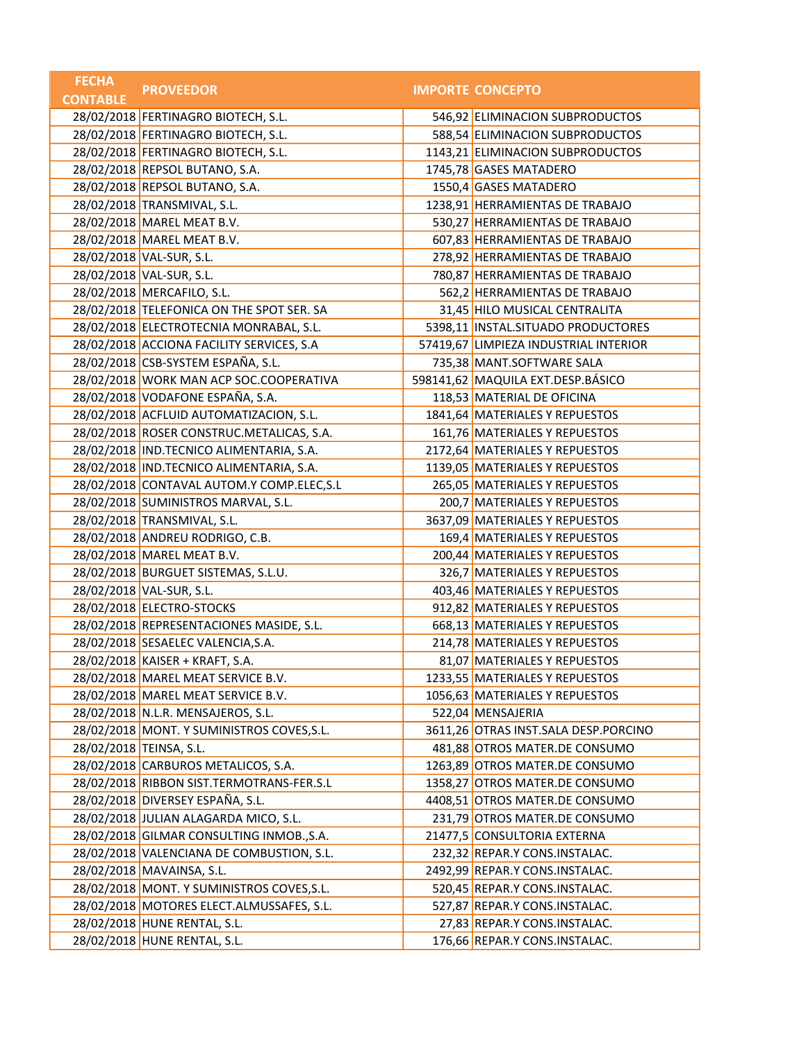| <b>FECHA</b>    | <b>PROVEEDOR</b>                           | <b>IMPORTE CONCEPTO</b>               |
|-----------------|--------------------------------------------|---------------------------------------|
| <b>CONTABLE</b> |                                            |                                       |
|                 | 28/02/2018 FERTINAGRO BIOTECH, S.L.        | 546,92 ELIMINACION SUBPRODUCTOS       |
|                 | 28/02/2018 FERTINAGRO BIOTECH, S.L.        | 588,54 ELIMINACION SUBPRODUCTOS       |
|                 | 28/02/2018 FERTINAGRO BIOTECH, S.L.        | 1143,21 ELIMINACION SUBPRODUCTOS      |
|                 | 28/02/2018 REPSOL BUTANO, S.A.             | 1745,78 GASES MATADERO                |
|                 | 28/02/2018 REPSOL BUTANO, S.A.             | 1550,4 GASES MATADERO                 |
|                 | 28/02/2018 TRANSMIVAL, S.L.                | 1238,91 HERRAMIENTAS DE TRABAJO       |
|                 | 28/02/2018 MAREL MEAT B.V.                 | 530,27 HERRAMIENTAS DE TRABAJO        |
|                 | 28/02/2018 MAREL MEAT B.V.                 | 607,83 HERRAMIENTAS DE TRABAJO        |
|                 | 28/02/2018 VAL-SUR, S.L.                   | 278,92 HERRAMIENTAS DE TRABAJO        |
|                 | 28/02/2018 VAL-SUR, S.L.                   | 780,87 HERRAMIENTAS DE TRABAJO        |
|                 | 28/02/2018 MERCAFILO, S.L.                 | 562,2 HERRAMIENTAS DE TRABAJO         |
|                 | 28/02/2018 TELEFONICA ON THE SPOT SER. SA  | 31,45 HILO MUSICAL CENTRALITA         |
|                 | 28/02/2018 ELECTROTECNIA MONRABAL, S.L.    | 5398,11 INSTAL.SITUADO PRODUCTORES    |
|                 | 28/02/2018 ACCIONA FACILITY SERVICES, S.A  | 57419,67 LIMPIEZA INDUSTRIAL INTERIOR |
|                 | 28/02/2018 CSB-SYSTEM ESPAÑA, S.L.         | 735,38 MANT.SOFTWARE SALA             |
|                 | 28/02/2018 WORK MAN ACP SOC.COOPERATIVA    | 598141,62 MAQUILA EXT.DESP.BÁSICO     |
|                 | 28/02/2018 VODAFONE ESPAÑA, S.A.           | 118,53 MATERIAL DE OFICINA            |
|                 | 28/02/2018 ACFLUID AUTOMATIZACION, S.L.    | 1841,64 MATERIALES Y REPUESTOS        |
|                 | 28/02/2018 ROSER CONSTRUC.METALICAS, S.A.  | 161,76 MATERIALES Y REPUESTOS         |
|                 | 28/02/2018 IND.TECNICO ALIMENTARIA, S.A.   | 2172,64 MATERIALES Y REPUESTOS        |
|                 | 28/02/2018 IND.TECNICO ALIMENTARIA, S.A.   | 1139,05 MATERIALES Y REPUESTOS        |
|                 | 28/02/2018 CONTAVAL AUTOM.Y COMP.ELEC, S.L | 265,05 MATERIALES Y REPUESTOS         |
|                 | 28/02/2018 SUMINISTROS MARVAL, S.L.        | 200,7 MATERIALES Y REPUESTOS          |
|                 | 28/02/2018 TRANSMIVAL, S.L.                | 3637,09 MATERIALES Y REPUESTOS        |
|                 | 28/02/2018 ANDREU RODRIGO, C.B.            | 169,4 MATERIALES Y REPUESTOS          |
|                 | 28/02/2018 MAREL MEAT B.V.                 | 200,44 MATERIALES Y REPUESTOS         |
|                 | 28/02/2018 BURGUET SISTEMAS, S.L.U.        | 326,7 MATERIALES Y REPUESTOS          |
|                 | 28/02/2018 VAL-SUR, S.L.                   | 403,46 MATERIALES Y REPUESTOS         |
|                 | 28/02/2018 ELECTRO-STOCKS                  | 912,82 MATERIALES Y REPUESTOS         |
|                 | 28/02/2018 REPRESENTACIONES MASIDE, S.L.   | 668,13 MATERIALES Y REPUESTOS         |
|                 | 28/02/2018 SESAELEC VALENCIA, S.A.         | 214,78 MATERIALES Y REPUESTOS         |
|                 | 28/02/2018 KAISER + KRAFT, S.A.            | 81,07 MATERIALES Y REPUESTOS          |
|                 | 28/02/2018 MAREL MEAT SERVICE B.V.         | 1233,55 MATERIALES Y REPUESTOS        |
|                 | 28/02/2018 MAREL MEAT SERVICE B.V.         | 1056,63 MATERIALES Y REPUESTOS        |
|                 | 28/02/2018 N.L.R. MENSAJEROS, S.L.         | 522,04 MENSAJERIA                     |
|                 | 28/02/2018 MONT. Y SUMINISTROS COVES, S.L. | 3611,26 OTRAS INST.SALA DESP.PORCINO  |
|                 | 28/02/2018 TEINSA, S.L.                    | 481,88 OTROS MATER.DE CONSUMO         |
|                 | 28/02/2018 CARBUROS METALICOS, S.A.        | 1263,89 OTROS MATER.DE CONSUMO        |
|                 | 28/02/2018 RIBBON SIST.TERMOTRANS-FER.S.L  | 1358,27 OTROS MATER.DE CONSUMO        |
|                 | 28/02/2018 DIVERSEY ESPAÑA, S.L.           | 4408,51 OTROS MATER.DE CONSUMO        |
|                 | 28/02/2018 JULIAN ALAGARDA MICO, S.L.      | 231,79 OTROS MATER.DE CONSUMO         |
|                 | 28/02/2018 GILMAR CONSULTING INMOB., S.A.  | 21477,5 CONSULTORIA EXTERNA           |
|                 | 28/02/2018 VALENCIANA DE COMBUSTION, S.L.  | 232,32 REPAR.Y CONS.INSTALAC.         |
|                 | 28/02/2018 MAVAINSA, S.L.                  | 2492,99 REPAR.Y CONS.INSTALAC.        |
|                 | 28/02/2018 MONT. Y SUMINISTROS COVES, S.L. | 520,45 REPAR.Y CONS.INSTALAC.         |
|                 | 28/02/2018 MOTORES ELECT.ALMUSSAFES, S.L.  | 527,87 REPAR.Y CONS.INSTALAC.         |
|                 | 28/02/2018 HUNE RENTAL, S.L.               | 27,83 REPAR.Y CONS.INSTALAC.          |
|                 | 28/02/2018 HUNE RENTAL, S.L.               | 176,66 REPAR.Y CONS.INSTALAC.         |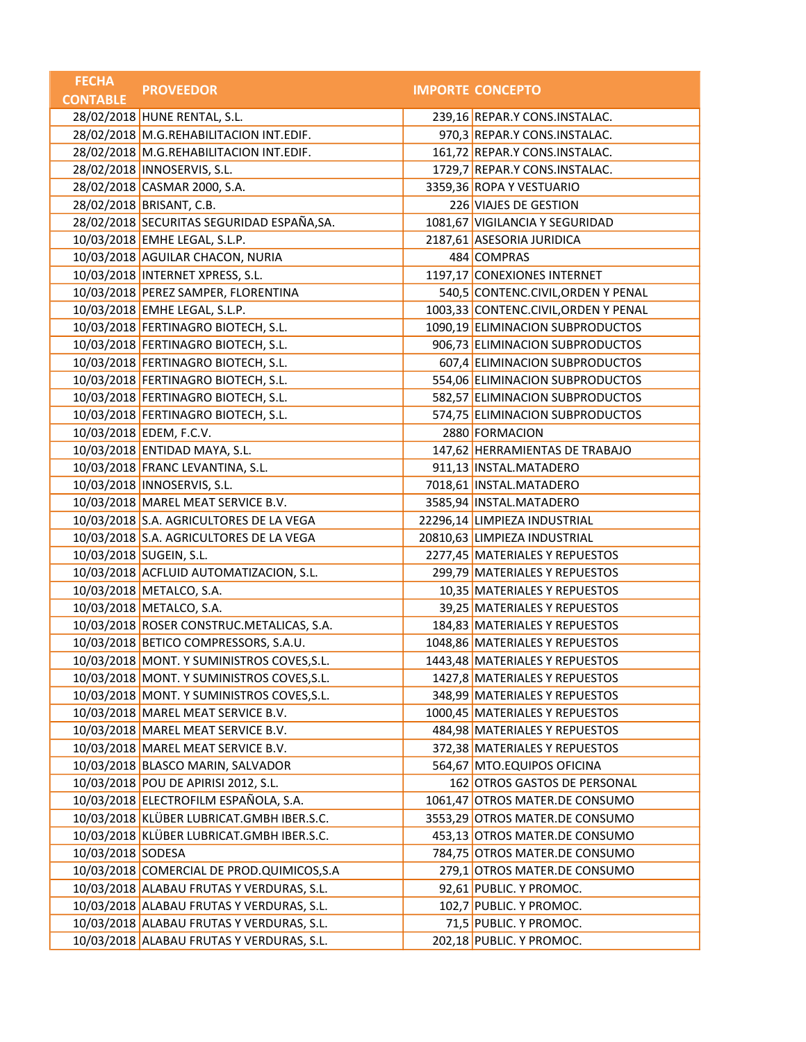| <b>FECHA</b>      | <b>PROVEEDOR</b>                           | <b>IMPORTE CONCEPTO</b>              |
|-------------------|--------------------------------------------|--------------------------------------|
| <b>CONTABLE</b>   |                                            |                                      |
|                   | 28/02/2018 HUNE RENTAL, S.L.               | 239,16 REPAR.Y CONS.INSTALAC.        |
|                   | 28/02/2018 M.G.REHABILITACION INT.EDIF.    | 970,3 REPAR.Y CONS.INSTALAC.         |
|                   | 28/02/2018 M.G.REHABILITACION INT.EDIF.    | 161,72 REPAR.Y CONS.INSTALAC.        |
|                   | 28/02/2018   INNOSERVIS, S.L.              | 1729,7 REPAR.Y CONS.INSTALAC.        |
|                   | 28/02/2018 CASMAR 2000, S.A.               | 3359,36 ROPA Y VESTUARIO             |
|                   | 28/02/2018 BRISANT, C.B.                   | 226 VIAJES DE GESTION                |
|                   | 28/02/2018 SECURITAS SEGURIDAD ESPAÑA, SA. | 1081,67 VIGILANCIA Y SEGURIDAD       |
|                   | 10/03/2018 EMHE LEGAL, S.L.P.              | 2187,61 ASESORIA JURIDICA            |
|                   | 10/03/2018 AGUILAR CHACON, NURIA           | 484 COMPRAS                          |
|                   | 10/03/2018   INTERNET XPRESS, S.L.         | 1197,17 CONEXIONES INTERNET          |
|                   | 10/03/2018 PEREZ SAMPER, FLORENTINA        | 540,5 CONTENC.CIVIL, ORDEN Y PENAL   |
|                   | 10/03/2018 EMHE LEGAL, S.L.P.              | 1003,33 CONTENC.CIVIL, ORDEN Y PENAL |
|                   | 10/03/2018 FERTINAGRO BIOTECH, S.L.        | 1090,19 ELIMINACION SUBPRODUCTOS     |
|                   | 10/03/2018 FERTINAGRO BIOTECH, S.L.        | 906,73 ELIMINACION SUBPRODUCTOS      |
|                   | 10/03/2018 FERTINAGRO BIOTECH, S.L.        | 607,4 ELIMINACION SUBPRODUCTOS       |
|                   | 10/03/2018 FERTINAGRO BIOTECH, S.L.        | 554,06 ELIMINACION SUBPRODUCTOS      |
|                   | 10/03/2018 FERTINAGRO BIOTECH, S.L.        | 582,57 ELIMINACION SUBPRODUCTOS      |
|                   | 10/03/2018 FERTINAGRO BIOTECH, S.L.        | 574,75 ELIMINACION SUBPRODUCTOS      |
|                   | 10/03/2018 EDEM, F.C.V.                    | 2880 FORMACION                       |
|                   | 10/03/2018 ENTIDAD MAYA, S.L.              | 147,62 HERRAMIENTAS DE TRABAJO       |
|                   | 10/03/2018 FRANC LEVANTINA, S.L.           | 911,13 INSTAL.MATADERO               |
|                   | 10/03/2018 INNOSERVIS, S.L.                | 7018,61 INSTAL.MATADERO              |
|                   | 10/03/2018 MAREL MEAT SERVICE B.V.         | 3585,94 INSTAL.MATADERO              |
|                   | 10/03/2018 S.A. AGRICULTORES DE LA VEGA    | 22296,14 LIMPIEZA INDUSTRIAL         |
|                   | 10/03/2018 S.A. AGRICULTORES DE LA VEGA    | 20810,63 LIMPIEZA INDUSTRIAL         |
|                   | 10/03/2018 SUGEIN, S.L.                    | 2277,45 MATERIALES Y REPUESTOS       |
|                   | 10/03/2018 ACFLUID AUTOMATIZACION, S.L.    | 299,79 MATERIALES Y REPUESTOS        |
|                   | 10/03/2018 METALCO, S.A.                   | 10,35 MATERIALES Y REPUESTOS         |
|                   | 10/03/2018 METALCO, S.A.                   | 39,25 MATERIALES Y REPUESTOS         |
|                   | 10/03/2018 ROSER CONSTRUC.METALICAS, S.A.  | 184,83 MATERIALES Y REPUESTOS        |
|                   | 10/03/2018 BETICO COMPRESSORS, S.A.U.      | 1048,86 MATERIALES Y REPUESTOS       |
|                   | 10/03/2018 MONT. Y SUMINISTROS COVES, S.L. | 1443,48 MATERIALES Y REPUESTOS       |
|                   | 10/03/2018 MONT. Y SUMINISTROS COVES, S.L. | 1427,8 MATERIALES Y REPUESTOS        |
|                   | 10/03/2018 MONT. Y SUMINISTROS COVES, S.L. | 348,99 MATERIALES Y REPUESTOS        |
|                   | 10/03/2018 MAREL MEAT SERVICE B.V.         | 1000,45 MATERIALES Y REPUESTOS       |
|                   | 10/03/2018 MAREL MEAT SERVICE B.V.         | 484,98 MATERIALES Y REPUESTOS        |
|                   | 10/03/2018 MAREL MEAT SERVICE B.V.         | 372,38 MATERIALES Y REPUESTOS        |
|                   | 10/03/2018 BLASCO MARIN, SALVADOR          | 564,67 MTO.EQUIPOS OFICINA           |
|                   | 10/03/2018 POU DE APIRISI 2012, S.L.       | 162 OTROS GASTOS DE PERSONAL         |
|                   | 10/03/2018 ELECTROFILM ESPAÑOLA, S.A.      | 1061,47 OTROS MATER.DE CONSUMO       |
|                   | 10/03/2018 KLÜBER LUBRICAT.GMBH IBER.S.C.  | 3553,29 OTROS MATER.DE CONSUMO       |
|                   | 10/03/2018 KLÜBER LUBRICAT.GMBH IBER.S.C.  | 453,13 OTROS MATER.DE CONSUMO        |
| 10/03/2018 SODESA |                                            | 784,75 OTROS MATER.DE CONSUMO        |
|                   | 10/03/2018 COMERCIAL DE PROD.QUIMICOS, S.A | 279,1 OTROS MATER.DE CONSUMO         |
|                   | 10/03/2018 ALABAU FRUTAS Y VERDURAS, S.L.  | 92,61 PUBLIC. Y PROMOC.              |
|                   | 10/03/2018 ALABAU FRUTAS Y VERDURAS, S.L.  | 102,7 PUBLIC. Y PROMOC.              |
|                   | 10/03/2018 ALABAU FRUTAS Y VERDURAS, S.L.  | 71,5 PUBLIC. Y PROMOC.               |
|                   | 10/03/2018 ALABAU FRUTAS Y VERDURAS, S.L.  | 202,18 PUBLIC. Y PROMOC.             |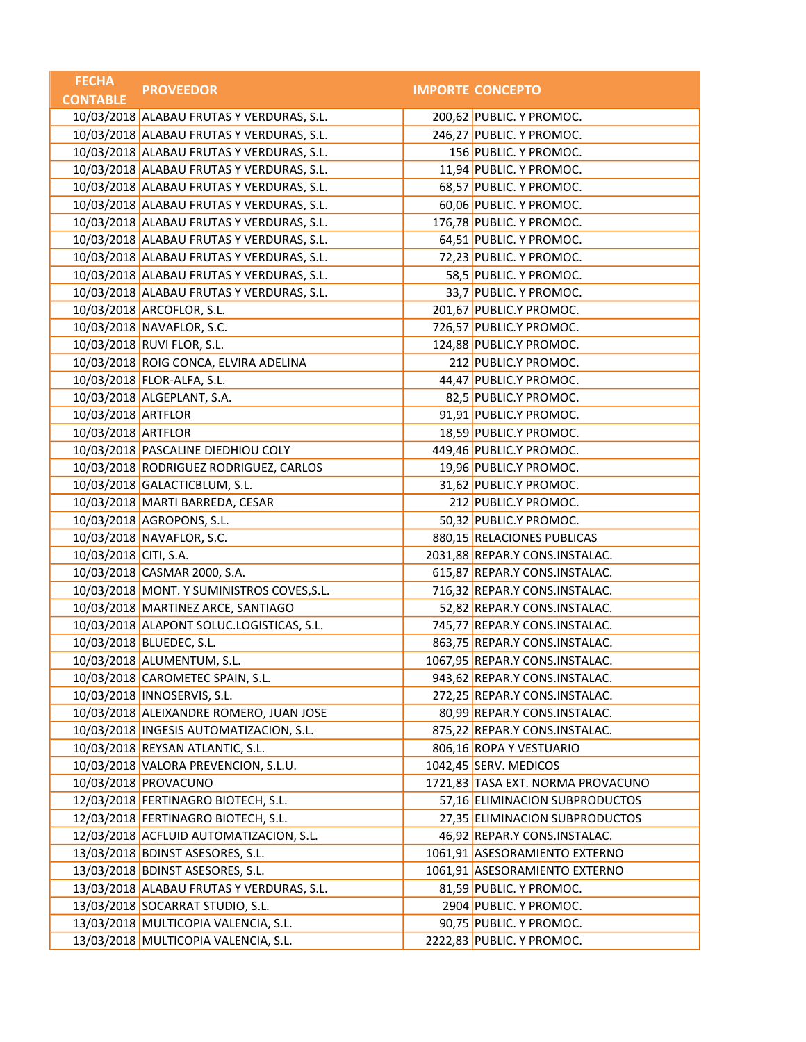| <b>FECHA</b>          | <b>PROVEEDOR</b>                           | <b>IMPORTE CONCEPTO</b>           |
|-----------------------|--------------------------------------------|-----------------------------------|
| <b>CONTABLE</b>       |                                            |                                   |
|                       | 10/03/2018 ALABAU FRUTAS Y VERDURAS, S.L.  | 200,62 PUBLIC. Y PROMOC.          |
|                       | 10/03/2018 ALABAU FRUTAS Y VERDURAS, S.L.  | 246,27 PUBLIC. Y PROMOC.          |
|                       | 10/03/2018 ALABAU FRUTAS Y VERDURAS, S.L.  | 156 PUBLIC. Y PROMOC.             |
|                       | 10/03/2018 ALABAU FRUTAS Y VERDURAS, S.L.  | 11,94 PUBLIC. Y PROMOC.           |
|                       | 10/03/2018 ALABAU FRUTAS Y VERDURAS, S.L.  | 68,57 PUBLIC. Y PROMOC.           |
|                       | 10/03/2018 ALABAU FRUTAS Y VERDURAS, S.L.  | 60,06 PUBLIC. Y PROMOC.           |
|                       | 10/03/2018 ALABAU FRUTAS Y VERDURAS, S.L.  | 176,78 PUBLIC. Y PROMOC.          |
|                       | 10/03/2018 ALABAU FRUTAS Y VERDURAS, S.L.  | 64,51 PUBLIC. Y PROMOC.           |
|                       | 10/03/2018 ALABAU FRUTAS Y VERDURAS, S.L.  | 72,23 PUBLIC. Y PROMOC.           |
|                       | 10/03/2018 ALABAU FRUTAS Y VERDURAS, S.L.  | 58,5 PUBLIC. Y PROMOC.            |
|                       | 10/03/2018 ALABAU FRUTAS Y VERDURAS, S.L.  | 33,7 PUBLIC. Y PROMOC.            |
|                       | 10/03/2018 ARCOFLOR, S.L.                  | 201,67 PUBLIC.Y PROMOC.           |
|                       | 10/03/2018 NAVAFLOR, S.C.                  | 726,57 PUBLIC.Y PROMOC.           |
|                       | 10/03/2018 RUVI FLOR, S.L.                 | 124,88 PUBLIC.Y PROMOC.           |
|                       | 10/03/2018 ROIG CONCA, ELVIRA ADELINA      | 212 PUBLIC.Y PROMOC.              |
|                       | 10/03/2018 FLOR-ALFA, S.L.                 | 44,47 PUBLIC.Y PROMOC.            |
|                       | 10/03/2018 ALGEPLANT, S.A.                 | 82,5 PUBLIC.Y PROMOC.             |
| 10/03/2018 ARTFLOR    |                                            | 91,91 PUBLIC.Y PROMOC.            |
| 10/03/2018 ARTFLOR    |                                            | 18,59 PUBLIC.Y PROMOC.            |
|                       | 10/03/2018 PASCALINE DIEDHIOU COLY         | 449,46 PUBLIC.Y PROMOC.           |
|                       | 10/03/2018 RODRIGUEZ RODRIGUEZ, CARLOS     | 19,96 PUBLIC.Y PROMOC.            |
|                       | 10/03/2018 GALACTICBLUM, S.L.              | 31,62 PUBLIC.Y PROMOC.            |
|                       | 10/03/2018 MARTI BARREDA, CESAR            | 212 PUBLIC.Y PROMOC.              |
|                       | 10/03/2018 AGROPONS, S.L.                  | 50,32 PUBLIC.Y PROMOC.            |
|                       | 10/03/2018 NAVAFLOR, S.C.                  | 880,15 RELACIONES PUBLICAS        |
| 10/03/2018 CITI, S.A. |                                            | 2031,88 REPAR.Y CONS.INSTALAC.    |
|                       | 10/03/2018 CASMAR 2000, S.A.               | 615,87 REPAR.Y CONS.INSTALAC.     |
|                       | 10/03/2018 MONT. Y SUMINISTROS COVES, S.L. | 716,32 REPAR.Y CONS.INSTALAC.     |
|                       | 10/03/2018 MARTINEZ ARCE, SANTIAGO         | 52,82 REPAR.Y CONS.INSTALAC.      |
|                       | 10/03/2018 ALAPONT SOLUC.LOGISTICAS, S.L.  | 745,77 REPAR.Y CONS.INSTALAC.     |
|                       | 10/03/2018 BLUEDEC, S.L.                   | 863,75 REPAR.Y CONS.INSTALAC.     |
|                       | 10/03/2018 ALUMENTUM, S.L.                 | 1067,95 REPAR.Y CONS.INSTALAC.    |
|                       | 10/03/2018 CAROMETEC SPAIN, S.L.           | 943,62 REPAR.Y CONS.INSTALAC.     |
|                       | 10/03/2018   INNOSERVIS, S.L.              | 272,25 REPAR.Y CONS.INSTALAC.     |
|                       | 10/03/2018 ALEIXANDRE ROMERO, JUAN JOSE    | 80,99 REPAR.Y CONS.INSTALAC.      |
|                       | 10/03/2018  INGESIS AUTOMATIZACION, S.L.   | 875,22 REPAR.Y CONS.INSTALAC.     |
|                       | 10/03/2018 REYSAN ATLANTIC, S.L.           | 806,16 ROPA Y VESTUARIO           |
|                       | 10/03/2018 VALORA PREVENCION, S.L.U.       | 1042,45 SERV. MEDICOS             |
|                       | 10/03/2018 PROVACUNO                       | 1721,83 TASA EXT. NORMA PROVACUNO |
|                       | 12/03/2018 FERTINAGRO BIOTECH, S.L.        | 57,16 ELIMINACION SUBPRODUCTOS    |
|                       | 12/03/2018 FERTINAGRO BIOTECH, S.L.        | 27,35 ELIMINACION SUBPRODUCTOS    |
|                       | 12/03/2018 ACFLUID AUTOMATIZACION, S.L.    | 46,92 REPAR.Y CONS.INSTALAC.      |
|                       | 13/03/2018 BDINST ASESORES, S.L.           | 1061,91 ASESORAMIENTO EXTERNO     |
|                       | 13/03/2018 BDINST ASESORES, S.L.           | 1061,91 ASESORAMIENTO EXTERNO     |
|                       | 13/03/2018 ALABAU FRUTAS Y VERDURAS, S.L.  | 81,59 PUBLIC. Y PROMOC.           |
|                       | 13/03/2018 SOCARRAT STUDIO, S.L.           | 2904 PUBLIC. Y PROMOC.            |
|                       | 13/03/2018 MULTICOPIA VALENCIA, S.L.       | 90,75 PUBLIC. Y PROMOC.           |
|                       | 13/03/2018 MULTICOPIA VALENCIA, S.L.       | 2222,83 PUBLIC. Y PROMOC.         |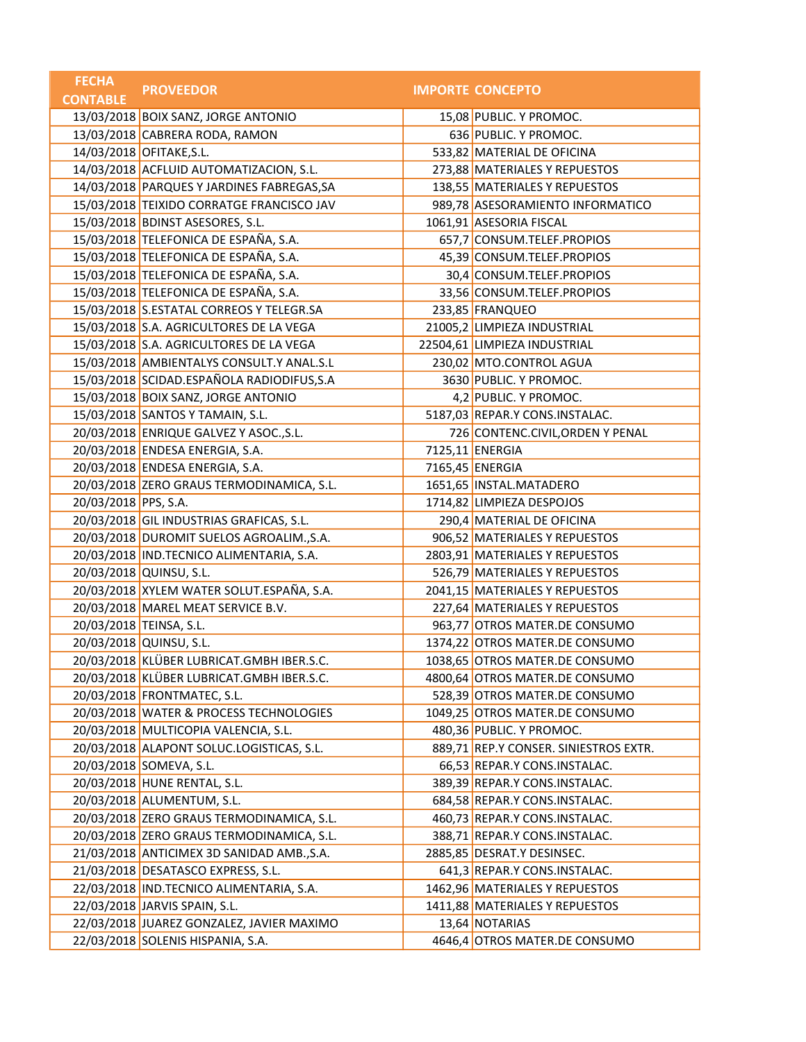| <b>FECHA</b>         | <b>PROVEEDOR</b>                           | <b>IMPORTE CONCEPTO</b>               |
|----------------------|--------------------------------------------|---------------------------------------|
| <b>CONTABLE</b>      |                                            |                                       |
|                      | 13/03/2018 BOIX SANZ, JORGE ANTONIO        | 15,08 PUBLIC. Y PROMOC.               |
|                      | 13/03/2018 CABRERA RODA, RAMON             | 636 PUBLIC. Y PROMOC.                 |
|                      | 14/03/2018 OFITAKE, S.L.                   | 533,82 MATERIAL DE OFICINA            |
|                      | 14/03/2018 ACFLUID AUTOMATIZACION, S.L.    | 273,88 MATERIALES Y REPUESTOS         |
|                      | 14/03/2018 PARQUES Y JARDINES FABREGAS, SA | 138,55 MATERIALES Y REPUESTOS         |
|                      | 15/03/2018 TEIXIDO CORRATGE FRANCISCO JAV  | 989,78 ASESORAMIENTO INFORMATICO      |
|                      | 15/03/2018 BDINST ASESORES, S.L.           | 1061,91 ASESORIA FISCAL               |
|                      | 15/03/2018 TELEFONICA DE ESPAÑA, S.A.      | 657,7 CONSUM.TELEF.PROPIOS            |
|                      | 15/03/2018 TELEFONICA DE ESPAÑA, S.A.      | 45,39 CONSUM.TELEF.PROPIOS            |
|                      | 15/03/2018 TELEFONICA DE ESPAÑA, S.A.      | 30,4 CONSUM.TELEF.PROPIOS             |
|                      | 15/03/2018 TELEFONICA DE ESPAÑA, S.A.      | 33,56 CONSUM.TELEF.PROPIOS            |
|                      | 15/03/2018 S.ESTATAL CORREOS Y TELEGR.SA   | 233,85 FRANQUEO                       |
|                      | 15/03/2018 S.A. AGRICULTORES DE LA VEGA    | 21005,2 LIMPIEZA INDUSTRIAL           |
|                      | 15/03/2018 S.A. AGRICULTORES DE LA VEGA    | 22504,61 LIMPIEZA INDUSTRIAL          |
|                      | 15/03/2018 AMBIENTALYS CONSULT.Y ANAL.S.L  | 230,02 MTO.CONTROL AGUA               |
|                      | 15/03/2018 SCIDAD.ESPAÑOLA RADIODIFUS, S.A | 3630 PUBLIC. Y PROMOC.                |
|                      | 15/03/2018 BOIX SANZ, JORGE ANTONIO        | 4,2 PUBLIC. Y PROMOC.                 |
|                      | 15/03/2018 SANTOS Y TAMAIN, S.L.           | 5187,03 REPAR.Y CONS.INSTALAC.        |
|                      | 20/03/2018 ENRIQUE GALVEZ Y ASOC., S.L.    | 726 CONTENC.CIVIL, ORDEN Y PENAL      |
|                      | 20/03/2018 ENDESA ENERGIA, S.A.            | 7125,11 ENERGIA                       |
|                      | 20/03/2018 ENDESA ENERGIA, S.A.            | 7165,45 ENERGIA                       |
|                      | 20/03/2018 ZERO GRAUS TERMODINAMICA, S.L.  | 1651,65 INSTAL.MATADERO               |
| 20/03/2018 PPS, S.A. |                                            | 1714,82 LIMPIEZA DESPOJOS             |
|                      | 20/03/2018 GIL INDUSTRIAS GRAFICAS, S.L.   | 290,4 MATERIAL DE OFICINA             |
|                      | 20/03/2018 DUROMIT SUELOS AGROALIM., S.A.  | 906,52 MATERIALES Y REPUESTOS         |
|                      | 20/03/2018 IND.TECNICO ALIMENTARIA, S.A.   | 2803,91 MATERIALES Y REPUESTOS        |
|                      | 20/03/2018 QUINSU, S.L.                    | 526,79 MATERIALES Y REPUESTOS         |
|                      | 20/03/2018 XYLEM WATER SOLUT.ESPAÑA, S.A.  | 2041,15 MATERIALES Y REPUESTOS        |
|                      | 20/03/2018 MAREL MEAT SERVICE B.V.         | 227,64 MATERIALES Y REPUESTOS         |
|                      | 20/03/2018 TEINSA, S.L.                    | 963,77 OTROS MATER.DE CONSUMO         |
|                      | 20/03/2018 QUINSU, S.L.                    | 1374,22 OTROS MATER.DE CONSUMO        |
|                      | 20/03/2018 KLÜBER LUBRICAT.GMBH IBER.S.C.  | 1038,65 OTROS MATER.DE CONSUMO        |
|                      | 20/03/2018 KLÜBER LUBRICAT.GMBH IBER.S.C.  | 4800,64 OTROS MATER.DE CONSUMO        |
|                      | 20/03/2018 FRONTMATEC, S.L.                | 528,39 OTROS MATER.DE CONSUMO         |
|                      | 20/03/2018 WATER & PROCESS TECHNOLOGIES    | 1049,25 OTROS MATER.DE CONSUMO        |
|                      | 20/03/2018 MULTICOPIA VALENCIA, S.L.       | 480,36 PUBLIC. Y PROMOC.              |
|                      | 20/03/2018 ALAPONT SOLUC.LOGISTICAS, S.L.  | 889,71 REP.Y CONSER. SINIESTROS EXTR. |
|                      | 20/03/2018 SOMEVA, S.L.                    | 66,53 REPAR.Y CONS.INSTALAC.          |
|                      | 20/03/2018 HUNE RENTAL, S.L.               | 389,39 REPAR.Y CONS.INSTALAC.         |
|                      | 20/03/2018 ALUMENTUM, S.L.                 | 684,58 REPAR.Y CONS.INSTALAC.         |
|                      | 20/03/2018 ZERO GRAUS TERMODINAMICA, S.L.  | 460,73 REPAR.Y CONS.INSTALAC.         |
|                      | 20/03/2018 ZERO GRAUS TERMODINAMICA, S.L.  | 388,71 REPAR.Y CONS.INSTALAC.         |
|                      | 21/03/2018 ANTICIMEX 3D SANIDAD AMB., S.A. | 2885,85 DESRAT.Y DESINSEC.            |
|                      | 21/03/2018 DESATASCO EXPRESS, S.L.         | 641,3 REPAR.Y CONS.INSTALAC.          |
|                      | 22/03/2018 IND.TECNICO ALIMENTARIA, S.A.   | 1462,96 MATERIALES Y REPUESTOS        |
|                      | 22/03/2018 JARVIS SPAIN, S.L.              | 1411,88 MATERIALES Y REPUESTOS        |
|                      | 22/03/2018 JUAREZ GONZALEZ, JAVIER MAXIMO  | 13,64 NOTARIAS                        |
|                      | 22/03/2018 SOLENIS HISPANIA, S.A.          | 4646,4 OTROS MATER.DE CONSUMO         |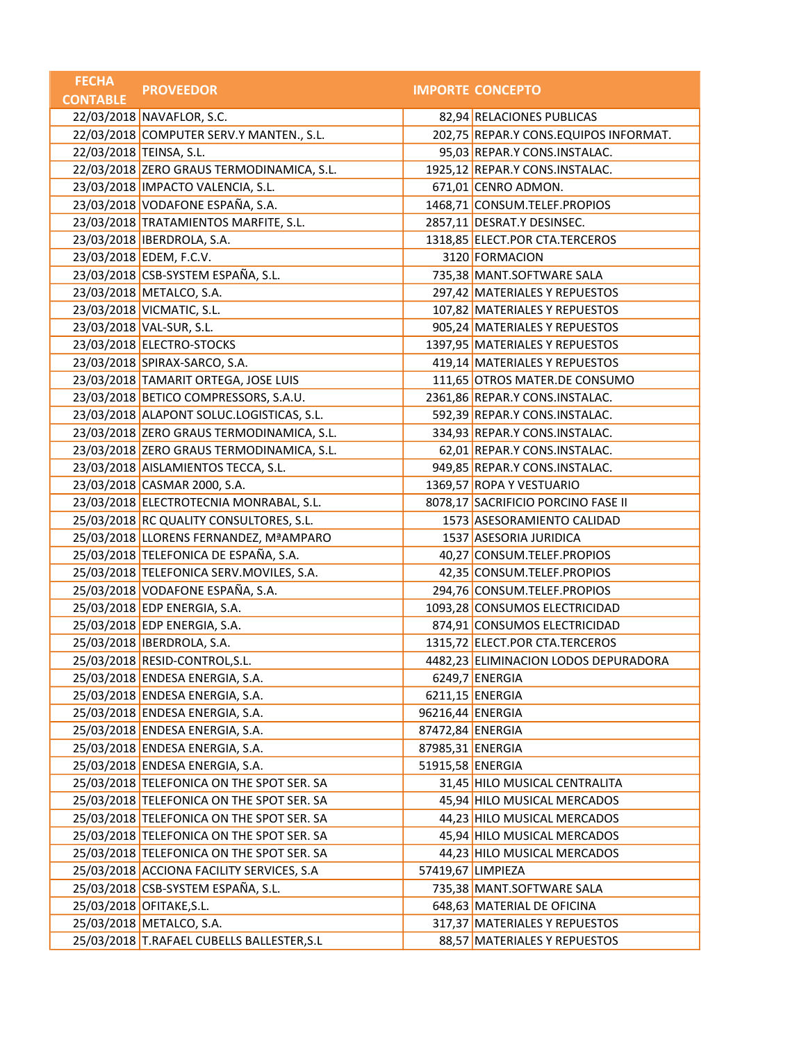| <b>FECHA</b>    | <b>PROVEEDOR</b>                           |                  | <b>IMPORTE CONCEPTO</b>               |
|-----------------|--------------------------------------------|------------------|---------------------------------------|
| <b>CONTABLE</b> |                                            |                  |                                       |
|                 | 22/03/2018 NAVAFLOR, S.C.                  |                  | 82,94 RELACIONES PUBLICAS             |
|                 | 22/03/2018 COMPUTER SERV.Y MANTEN., S.L.   |                  | 202,75 REPAR.Y CONS.EQUIPOS INFORMAT. |
|                 | 22/03/2018 TEINSA, S.L.                    |                  | 95,03 REPAR.Y CONS.INSTALAC.          |
|                 | 22/03/2018 ZERO GRAUS TERMODINAMICA, S.L.  |                  | 1925,12 REPAR.Y CONS.INSTALAC.        |
|                 | 23/03/2018 IMPACTO VALENCIA, S.L.          |                  | 671,01 CENRO ADMON.                   |
|                 | 23/03/2018 VODAFONE ESPAÑA, S.A.           |                  | 1468,71 CONSUM.TELEF.PROPIOS          |
|                 | 23/03/2018 TRATAMIENTOS MARFITE, S.L.      |                  | 2857,11 DESRAT.Y DESINSEC.            |
|                 | 23/03/2018 IBERDROLA, S.A.                 |                  | 1318,85 ELECT.POR CTA.TERCEROS        |
|                 | 23/03/2018 EDEM, F.C.V.                    |                  | 3120 FORMACION                        |
|                 | 23/03/2018 CSB-SYSTEM ESPAÑA, S.L.         |                  | 735,38 MANT.SOFTWARE SALA             |
|                 | 23/03/2018 METALCO, S.A.                   |                  | 297,42 MATERIALES Y REPUESTOS         |
|                 | 23/03/2018 VICMATIC, S.L.                  |                  | 107,82 MATERIALES Y REPUESTOS         |
|                 | 23/03/2018 VAL-SUR, S.L.                   |                  | 905,24 MATERIALES Y REPUESTOS         |
|                 | 23/03/2018 ELECTRO-STOCKS                  |                  | 1397,95 MATERIALES Y REPUESTOS        |
|                 | 23/03/2018 SPIRAX-SARCO, S.A.              |                  | 419,14 MATERIALES Y REPUESTOS         |
|                 | 23/03/2018 TAMARIT ORTEGA, JOSE LUIS       |                  | 111,65 OTROS MATER.DE CONSUMO         |
|                 | 23/03/2018 BETICO COMPRESSORS, S.A.U.      |                  | 2361,86 REPAR.Y CONS.INSTALAC.        |
|                 | 23/03/2018 ALAPONT SOLUC.LOGISTICAS, S.L.  |                  | 592,39 REPAR.Y CONS.INSTALAC.         |
|                 | 23/03/2018 ZERO GRAUS TERMODINAMICA, S.L.  |                  | 334,93 REPAR.Y CONS.INSTALAC.         |
|                 | 23/03/2018 ZERO GRAUS TERMODINAMICA, S.L.  |                  | 62,01 REPAR.Y CONS.INSTALAC.          |
|                 | 23/03/2018 AISLAMIENTOS TECCA, S.L.        |                  | 949,85 REPAR.Y CONS.INSTALAC.         |
|                 | 23/03/2018 CASMAR 2000, S.A.               |                  | 1369,57 ROPA Y VESTUARIO              |
|                 | 23/03/2018 ELECTROTECNIA MONRABAL, S.L.    |                  | 8078,17 SACRIFICIO PORCINO FASE II    |
|                 | 25/03/2018 RC QUALITY CONSULTORES, S.L.    |                  | 1573 ASESORAMIENTO CALIDAD            |
|                 | 25/03/2018 LLORENS FERNANDEZ, MªAMPARO     |                  | 1537 ASESORIA JURIDICA                |
|                 | 25/03/2018 TELEFONICA DE ESPAÑA, S.A.      |                  | 40,27 CONSUM.TELEF.PROPIOS            |
|                 | 25/03/2018 TELEFONICA SERV.MOVILES, S.A.   |                  | 42,35 CONSUM.TELEF.PROPIOS            |
|                 | 25/03/2018 VODAFONE ESPAÑA, S.A.           |                  | 294,76 CONSUM.TELEF.PROPIOS           |
|                 | 25/03/2018 EDP ENERGIA, S.A.               |                  | 1093,28 CONSUMOS ELECTRICIDAD         |
|                 | 25/03/2018 EDP ENERGIA, S.A.               |                  | 874,91 CONSUMOS ELECTRICIDAD          |
|                 | 25/03/2018 IBERDROLA, S.A.                 |                  | 1315,72 ELECT.POR CTA.TERCEROS        |
|                 | 25/03/2018 RESID-CONTROL, S.L.             |                  | 4482,23 ELIMINACION LODOS DEPURADORA  |
|                 | 25/03/2018 ENDESA ENERGIA, S.A.            |                  | $6249,7$ ENERGIA                      |
|                 | 25/03/2018 ENDESA ENERGIA, S.A.            |                  | 6211,15 ENERGIA                       |
|                 | 25/03/2018 ENDESA ENERGIA, S.A.            | 96216,44 ENERGIA |                                       |
|                 | 25/03/2018 ENDESA ENERGIA, S.A.            | 87472,84 ENERGIA |                                       |
|                 | 25/03/2018 ENDESA ENERGIA, S.A.            | 87985,31 ENERGIA |                                       |
|                 | 25/03/2018 ENDESA ENERGIA, S.A.            | 51915,58 ENERGIA |                                       |
|                 | 25/03/2018 TELEFONICA ON THE SPOT SER. SA  |                  | 31,45 HILO MUSICAL CENTRALITA         |
|                 | 25/03/2018 TELEFONICA ON THE SPOT SER. SA  |                  | 45,94 HILO MUSICAL MERCADOS           |
|                 | 25/03/2018 TELEFONICA ON THE SPOT SER. SA  |                  | 44,23 HILO MUSICAL MERCADOS           |
|                 | 25/03/2018 TELEFONICA ON THE SPOT SER. SA  |                  | 45,94 HILO MUSICAL MERCADOS           |
|                 | 25/03/2018 TELEFONICA ON THE SPOT SER. SA  |                  | 44,23 HILO MUSICAL MERCADOS           |
|                 | 25/03/2018 ACCIONA FACILITY SERVICES, S.A  |                  | 57419,67 LIMPIEZA                     |
|                 | 25/03/2018 CSB-SYSTEM ESPAÑA, S.L.         |                  | 735,38 MANT.SOFTWARE SALA             |
|                 | 25/03/2018 OFITAKE, S.L.                   |                  | 648,63 MATERIAL DE OFICINA            |
|                 | 25/03/2018 METALCO, S.A.                   |                  | 317,37 MATERIALES Y REPUESTOS         |
|                 | 25/03/2018 T.RAFAEL CUBELLS BALLESTER, S.L |                  | 88,57 MATERIALES Y REPUESTOS          |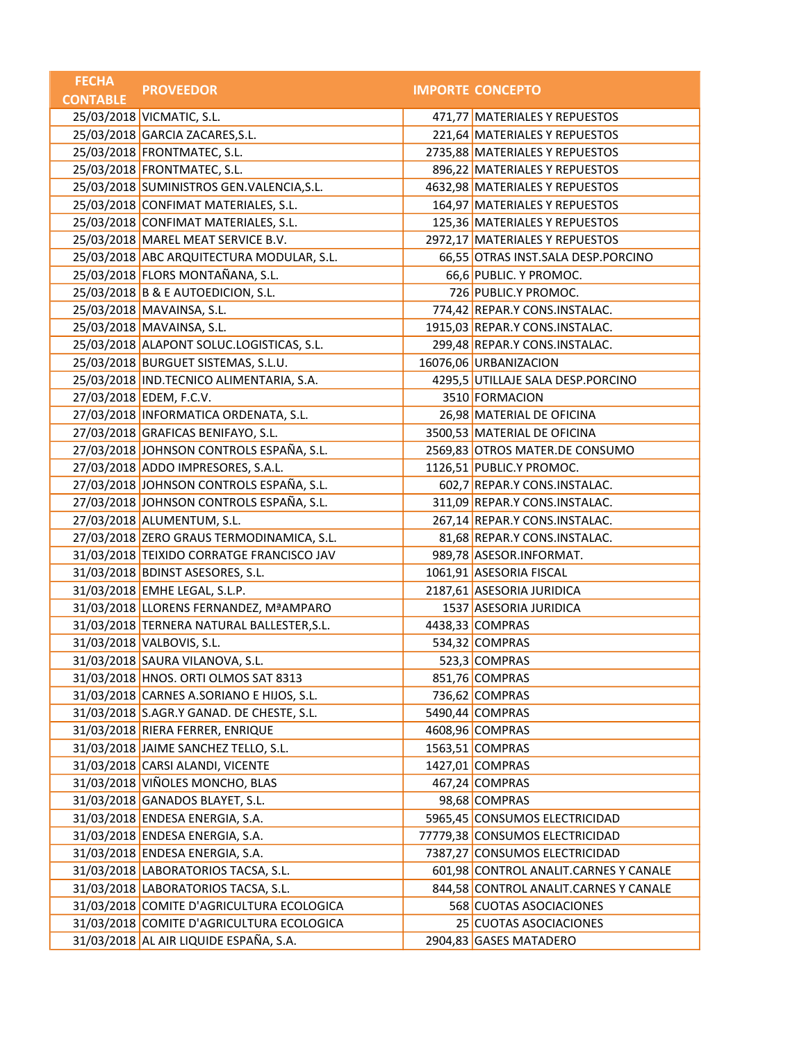| <b>FECHA</b>    | <b>PROVEEDOR</b>                           | <b>IMPORTE CONCEPTO</b>               |
|-----------------|--------------------------------------------|---------------------------------------|
| <b>CONTABLE</b> |                                            |                                       |
|                 | 25/03/2018 VICMATIC, S.L.                  | 471,77 MATERIALES Y REPUESTOS         |
|                 | 25/03/2018 GARCIA ZACARES, S.L.            | 221,64 MATERIALES Y REPUESTOS         |
|                 | 25/03/2018 FRONTMATEC, S.L.                | 2735,88 MATERIALES Y REPUESTOS        |
|                 | 25/03/2018 FRONTMATEC, S.L.                | 896,22 MATERIALES Y REPUESTOS         |
|                 | 25/03/2018 SUMINISTROS GEN.VALENCIA, S.L.  | 4632,98 MATERIALES Y REPUESTOS        |
|                 | 25/03/2018 CONFIMAT MATERIALES, S.L.       | 164,97 MATERIALES Y REPUESTOS         |
|                 | 25/03/2018 CONFIMAT MATERIALES, S.L.       | 125,36 MATERIALES Y REPUESTOS         |
|                 | 25/03/2018 MAREL MEAT SERVICE B.V.         | 2972,17 MATERIALES Y REPUESTOS        |
|                 | 25/03/2018 ABC ARQUITECTURA MODULAR, S.L.  | 66,55 OTRAS INST.SALA DESP.PORCINO    |
|                 | 25/03/2018 FLORS MONTAÑANA, S.L.           | 66,6 PUBLIC. Y PROMOC.                |
|                 | 25/03/2018 B & E AUTOEDICION, S.L.         | 726 PUBLIC.Y PROMOC.                  |
|                 | 25/03/2018 MAVAINSA, S.L.                  | 774,42 REPAR.Y CONS.INSTALAC.         |
|                 | 25/03/2018 MAVAINSA, S.L.                  | 1915,03 REPAR.Y CONS.INSTALAC.        |
|                 | 25/03/2018 ALAPONT SOLUC.LOGISTICAS, S.L.  | 299,48 REPAR.Y CONS.INSTALAC.         |
|                 | 25/03/2018 BURGUET SISTEMAS, S.L.U.        | 16076,06 URBANIZACION                 |
|                 | 25/03/2018 IND.TECNICO ALIMENTARIA, S.A.   | 4295,5 UTILLAJE SALA DESP.PORCINO     |
|                 | 27/03/2018 EDEM, F.C.V.                    | 3510 FORMACION                        |
|                 | 27/03/2018 INFORMATICA ORDENATA, S.L.      | 26,98 MATERIAL DE OFICINA             |
|                 | 27/03/2018 GRAFICAS BENIFAYO, S.L.         | 3500,53 MATERIAL DE OFICINA           |
|                 | 27/03/2018 JOHNSON CONTROLS ESPAÑA, S.L.   | 2569,83 OTROS MATER.DE CONSUMO        |
|                 | 27/03/2018 ADDO IMPRESORES, S.A.L.         | 1126,51 PUBLIC.Y PROMOC.              |
|                 | 27/03/2018 JOHNSON CONTROLS ESPAÑA, S.L.   | 602,7 REPAR.Y CONS.INSTALAC.          |
|                 | 27/03/2018 JOHNSON CONTROLS ESPAÑA, S.L.   | 311,09 REPAR.Y CONS.INSTALAC.         |
|                 | 27/03/2018 ALUMENTUM, S.L.                 | 267,14 REPAR.Y CONS.INSTALAC.         |
|                 | 27/03/2018 ZERO GRAUS TERMODINAMICA, S.L.  | 81,68 REPAR.Y CONS.INSTALAC.          |
|                 | 31/03/2018 TEIXIDO CORRATGE FRANCISCO JAV  | 989,78 ASESOR.INFORMAT.               |
|                 | 31/03/2018 BDINST ASESORES, S.L.           | 1061,91 ASESORIA FISCAL               |
|                 | 31/03/2018 EMHE LEGAL, S.L.P.              | 2187,61 ASESORIA JURIDICA             |
|                 | 31/03/2018 LLORENS FERNANDEZ, MªAMPARO     | 1537 ASESORIA JURIDICA                |
|                 | 31/03/2018 TERNERA NATURAL BALLESTER, S.L. | 4438,33 COMPRAS                       |
|                 | 31/03/2018 VALBOVIS, S.L.                  | 534,32 COMPRAS                        |
|                 | 31/03/2018 SAURA VILANOVA, S.L.            | 523,3 COMPRAS                         |
|                 | 31/03/2018 HNOS. ORTI OLMOS SAT 8313       | 851,76 COMPRAS                        |
|                 | 31/03/2018 CARNES A.SORIANO E HIJOS, S.L.  | 736,62 COMPRAS                        |
|                 | 31/03/2018 S.AGR.Y GANAD. DE CHESTE, S.L.  | 5490,44 COMPRAS                       |
|                 | 31/03/2018 RIERA FERRER, ENRIQUE           | 4608,96 COMPRAS                       |
|                 | 31/03/2018 JAIME SANCHEZ TELLO, S.L.       | 1563,51 COMPRAS                       |
|                 | 31/03/2018 CARSI ALANDI, VICENTE           | 1427,01 COMPRAS                       |
|                 | 31/03/2018 VIÑOLES MONCHO, BLAS            | 467,24 COMPRAS                        |
|                 | 31/03/2018 GANADOS BLAYET, S.L.            | 98,68 COMPRAS                         |
|                 | 31/03/2018 ENDESA ENERGIA, S.A.            | 5965,45 CONSUMOS ELECTRICIDAD         |
|                 | 31/03/2018 ENDESA ENERGIA, S.A.            | 77779,38 CONSUMOS ELECTRICIDAD        |
|                 | 31/03/2018 ENDESA ENERGIA, S.A.            | 7387,27 CONSUMOS ELECTRICIDAD         |
|                 | 31/03/2018 LABORATORIOS TACSA, S.L.        | 601,98 CONTROL ANALIT.CARNES Y CANALE |
|                 | 31/03/2018 LABORATORIOS TACSA, S.L.        | 844,58 CONTROL ANALIT.CARNES Y CANALE |
|                 | 31/03/2018 COMITE D'AGRICULTURA ECOLOGICA  | 568 CUOTAS ASOCIACIONES               |
|                 | 31/03/2018 COMITE D'AGRICULTURA ECOLOGICA  | 25 CUOTAS ASOCIACIONES                |
|                 | 31/03/2018 AL AIR LIQUIDE ESPAÑA, S.A.     | 2904,83 GASES MATADERO                |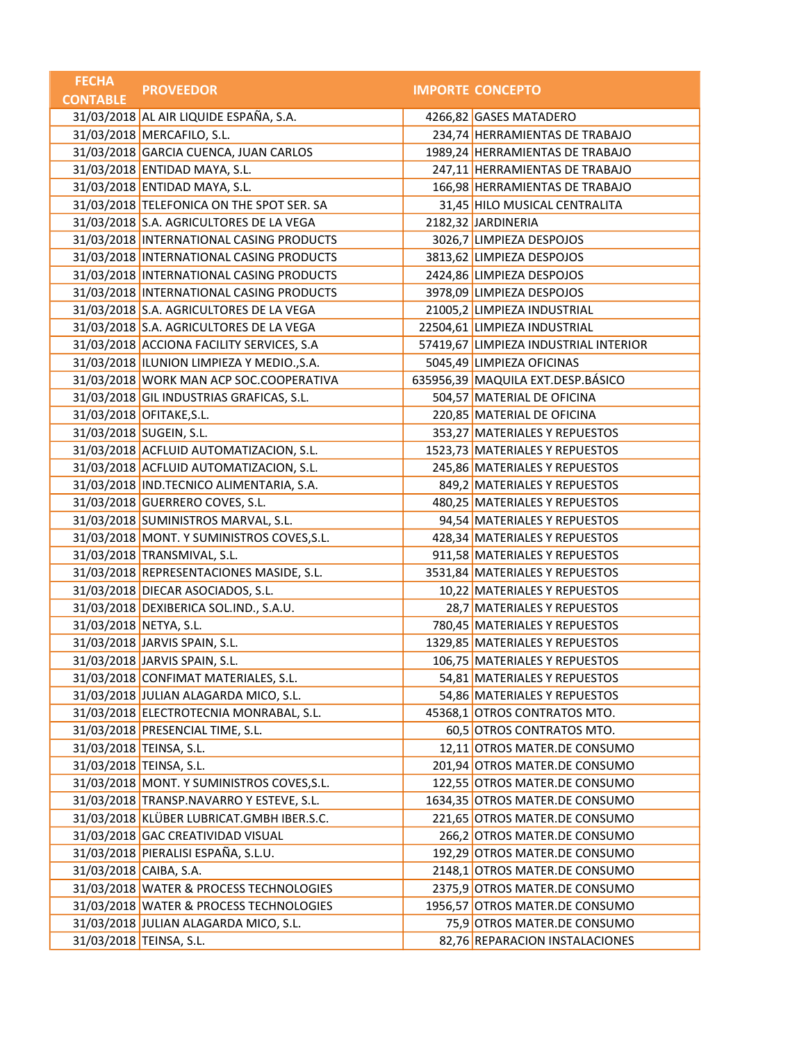| <b>FECHA</b>           | <b>PROVEEDOR</b>                           | <b>IMPORTE CONCEPTO</b>               |
|------------------------|--------------------------------------------|---------------------------------------|
| <b>CONTABLE</b>        |                                            |                                       |
|                        | 31/03/2018 AL AIR LIQUIDE ESPAÑA, S.A.     | 4266,82 GASES MATADERO                |
|                        | 31/03/2018 MERCAFILO, S.L.                 | 234,74 HERRAMIENTAS DE TRABAJO        |
|                        | 31/03/2018 GARCIA CUENCA, JUAN CARLOS      | 1989,24 HERRAMIENTAS DE TRABAJO       |
|                        | 31/03/2018 ENTIDAD MAYA, S.L.              | 247,11 HERRAMIENTAS DE TRABAJO        |
|                        | 31/03/2018 ENTIDAD MAYA, S.L.              | 166,98 HERRAMIENTAS DE TRABAJO        |
|                        | 31/03/2018 TELEFONICA ON THE SPOT SER. SA  | 31,45 HILO MUSICAL CENTRALITA         |
|                        | 31/03/2018 S.A. AGRICULTORES DE LA VEGA    | 2182,32 JARDINERIA                    |
|                        | 31/03/2018 INTERNATIONAL CASING PRODUCTS   | 3026,7 LIMPIEZA DESPOJOS              |
|                        | 31/03/2018 INTERNATIONAL CASING PRODUCTS   | 3813,62 LIMPIEZA DESPOJOS             |
|                        | 31/03/2018 INTERNATIONAL CASING PRODUCTS   | 2424,86 LIMPIEZA DESPOJOS             |
|                        | 31/03/2018 INTERNATIONAL CASING PRODUCTS   | 3978,09 LIMPIEZA DESPOJOS             |
|                        | 31/03/2018 S.A. AGRICULTORES DE LA VEGA    | 21005,2 LIMPIEZA INDUSTRIAL           |
|                        | 31/03/2018 S.A. AGRICULTORES DE LA VEGA    | 22504,61 LIMPIEZA INDUSTRIAL          |
|                        | 31/03/2018 ACCIONA FACILITY SERVICES, S.A  | 57419,67 LIMPIEZA INDUSTRIAL INTERIOR |
|                        | 31/03/2018 ILUNION LIMPIEZA Y MEDIO., S.A. | 5045,49 LIMPIEZA OFICINAS             |
|                        | 31/03/2018 WORK MAN ACP SOC.COOPERATIVA    | 635956,39 MAQUILA EXT.DESP.BÁSICO     |
|                        | 31/03/2018 GIL INDUSTRIAS GRAFICAS, S.L.   | 504,57 MATERIAL DE OFICINA            |
|                        | 31/03/2018 OFITAKE, S.L.                   | 220,85 MATERIAL DE OFICINA            |
|                        | 31/03/2018 SUGEIN, S.L.                    | 353,27 MATERIALES Y REPUESTOS         |
|                        | 31/03/2018 ACFLUID AUTOMATIZACION, S.L.    | 1523,73 MATERIALES Y REPUESTOS        |
|                        | 31/03/2018 ACFLUID AUTOMATIZACION, S.L.    | 245,86 MATERIALES Y REPUESTOS         |
|                        | 31/03/2018 IND.TECNICO ALIMENTARIA, S.A.   | 849,2 MATERIALES Y REPUESTOS          |
|                        | 31/03/2018 GUERRERO COVES, S.L.            | 480,25 MATERIALES Y REPUESTOS         |
|                        | 31/03/2018 SUMINISTROS MARVAL, S.L.        | 94,54 MATERIALES Y REPUESTOS          |
|                        | 31/03/2018 MONT. Y SUMINISTROS COVES, S.L. | 428,34 MATERIALES Y REPUESTOS         |
|                        | 31/03/2018 TRANSMIVAL, S.L.                | 911,58 MATERIALES Y REPUESTOS         |
|                        | 31/03/2018 REPRESENTACIONES MASIDE, S.L.   | 3531,84 MATERIALES Y REPUESTOS        |
|                        | 31/03/2018 DIECAR ASOCIADOS, S.L.          | 10,22 MATERIALES Y REPUESTOS          |
|                        | 31/03/2018 DEXIBERICA SOL.IND., S.A.U.     | 28,7 MATERIALES Y REPUESTOS           |
| 31/03/2018 NETYA, S.L. |                                            | 780,45 MATERIALES Y REPUESTOS         |
|                        | 31/03/2018 JARVIS SPAIN, S.L.              | 1329,85 MATERIALES Y REPUESTOS        |
|                        | 31/03/2018 JARVIS SPAIN, S.L.              | 106,75 MATERIALES Y REPUESTOS         |
|                        | 31/03/2018 CONFIMAT MATERIALES, S.L.       | 54,81 MATERIALES Y REPUESTOS          |
|                        | 31/03/2018 JULIAN ALAGARDA MICO, S.L.      | 54,86 MATERIALES Y REPUESTOS          |
|                        | 31/03/2018 ELECTROTECNIA MONRABAL, S.L.    | 45368,1 OTROS CONTRATOS MTO.          |
|                        | 31/03/2018 PRESENCIAL TIME, S.L.           | 60,5 OTROS CONTRATOS MTO.             |
|                        | 31/03/2018 TEINSA, S.L.                    | 12,11 OTROS MATER.DE CONSUMO          |
|                        | 31/03/2018 TEINSA, S.L.                    | 201,94 OTROS MATER.DE CONSUMO         |
|                        | 31/03/2018 MONT. Y SUMINISTROS COVES, S.L. | 122,55 OTROS MATER.DE CONSUMO         |
|                        | 31/03/2018 TRANSP.NAVARRO Y ESTEVE, S.L.   | 1634,35 OTROS MATER.DE CONSUMO        |
|                        | 31/03/2018 KLÜBER LUBRICAT.GMBH IBER.S.C.  | 221,65 OTROS MATER.DE CONSUMO         |
|                        | 31/03/2018 GAC CREATIVIDAD VISUAL          | 266,2 OTROS MATER.DE CONSUMO          |
|                        | 31/03/2018 PIERALISI ESPAÑA, S.L.U.        | 192,29 OTROS MATER.DE CONSUMO         |
| 31/03/2018 CAIBA, S.A. |                                            | 2148,1 OTROS MATER.DE CONSUMO         |
|                        | 31/03/2018 WATER & PROCESS TECHNOLOGIES    | 2375,9 OTROS MATER.DE CONSUMO         |
|                        | 31/03/2018 WATER & PROCESS TECHNOLOGIES    | 1956,57 OTROS MATER.DE CONSUMO        |
|                        | 31/03/2018 JULIAN ALAGARDA MICO, S.L.      | 75,9 OTROS MATER.DE CONSUMO           |
|                        | 31/03/2018 TEINSA, S.L.                    | 82,76 REPARACION INSTALACIONES        |